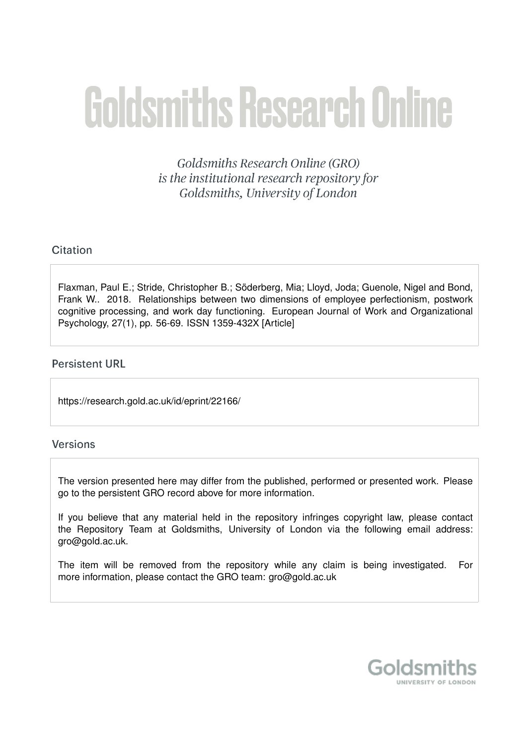# **Goldsmiths Research Online**

Goldsmiths Research Online (GRO) is the institutional research repository for Goldsmiths, University of London

# Citation

Flaxman, Paul E.; Stride, Christopher B.; Söderberg, Mia; Lloyd, Joda; Guenole, Nigel and Bond, Frank W.. 2018. Relationships between two dimensions of employee perfectionism, postwork cognitive processing, and work day functioning. European Journal of Work and Organizational Psychology, 27(1), pp. 56-69. ISSN 1359-432X [Article]

# **Persistent URL**

https://research.gold.ac.uk/id/eprint/22166/

# Versions

The version presented here may differ from the published, performed or presented work. Please go to the persistent GRO record above for more information.

If you believe that any material held in the repository infringes copyright law, please contact the Repository Team at Goldsmiths, University of London via the following email address: gro@gold.ac.uk.

The item will be removed from the repository while any claim is being investigated. For more information, please contact the GRO team: gro@gold.ac.uk

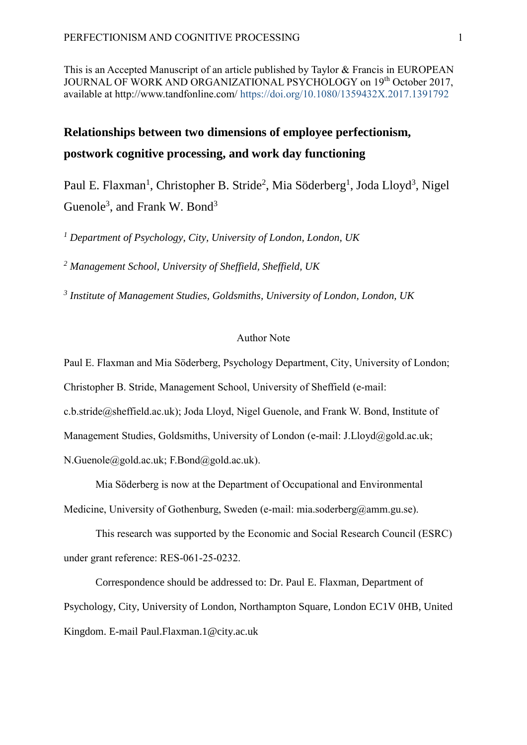This is an Accepted Manuscript of an article published by Taylor & Francis in EUROPEAN JOURNAL OF WORK AND ORGANIZATIONAL PSYCHOLOGY on 19<sup>th</sup> October 2017, available at http://www.tandfonline.com/ <https://doi.org/10.1080/1359432X.2017.1391792>

# **Relationships between two dimensions of employee perfectionism, postwork cognitive processing, and work day functioning**

Paul E. Flaxman<sup>1</sup>, Christopher B. Stride<sup>2</sup>, Mia Söderberg<sup>1</sup>, Joda Lloyd<sup>3</sup>, Nigel Guenole<sup>3</sup>, and Frank W. Bond<sup>3</sup>

*<sup>1</sup> Department of Psychology, City, University of London, London, UK*

*<sup>2</sup> Management School, University of Sheffield, Sheffield, UK*

*3 Institute of Management Studies, Goldsmiths, University of London, London, UK*

#### Author Note

Paul E. Flaxman and Mia Söderberg, Psychology Department, City, University of London;

Christopher B. Stride, Management School, University of Sheffield (e-mail:

[c.b.stride@sheffield.ac.uk\)](mailto:c.b.stride@sheffield.ac.uk); Joda Lloyd, Nigel Guenole, and Frank W. Bond, Institute of

Management Studies, Goldsmiths, University of London (e-mail: [J.Lloyd@gold.ac.uk;](mailto:J.Lloyd@gold.ac.uk)

[N.Guenole@gold.ac.uk;](mailto:N.Guenole@gold.ac.uk) [F.Bond@gold.ac.uk\)](mailto:F.Bond@gold.ac.uk).

Mia Söderberg is now at the Department of Occupational and Environmental Medicine, University of Gothenburg, Sweden (e-mail: [mia.soderberg@amm.gu.se\)](mailto:mia.soderberg@amm.gu.se).

This research was supported by the Economic and Social Research Council (ESRC) under grant reference: RES-061-25-0232.

Correspondence should be addressed to: Dr. Paul E. Flaxman, Department of Psychology, City, University of London, Northampton Square, London EC1V 0HB, United Kingdom. E-mail [Paul.Flaxman.1@city.ac.uk](mailto:Paul.Flaxman.1@city.ac.uk)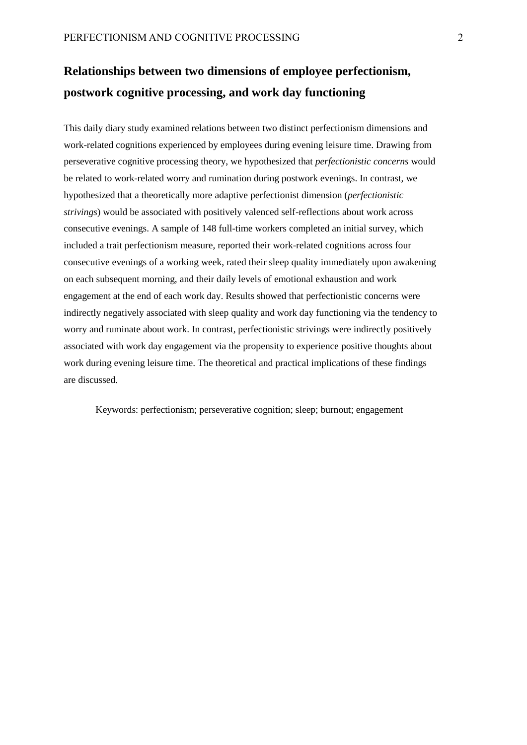# **Relationships between two dimensions of employee perfectionism, postwork cognitive processing, and work day functioning**

This daily diary study examined relations between two distinct perfectionism dimensions and work-related cognitions experienced by employees during evening leisure time. Drawing from perseverative cognitive processing theory, we hypothesized that *perfectionistic concerns* would be related to work-related worry and rumination during postwork evenings. In contrast, we hypothesized that a theoretically more adaptive perfectionist dimension (*perfectionistic strivings*) would be associated with positively valenced self-reflections about work across consecutive evenings. A sample of 148 full-time workers completed an initial survey, which included a trait perfectionism measure, reported their work-related cognitions across four consecutive evenings of a working week, rated their sleep quality immediately upon awakening on each subsequent morning, and their daily levels of emotional exhaustion and work engagement at the end of each work day. Results showed that perfectionistic concerns were indirectly negatively associated with sleep quality and work day functioning via the tendency to worry and ruminate about work. In contrast, perfectionistic strivings were indirectly positively associated with work day engagement via the propensity to experience positive thoughts about work during evening leisure time. The theoretical and practical implications of these findings are discussed.

Keywords: perfectionism; perseverative cognition; sleep; burnout; engagement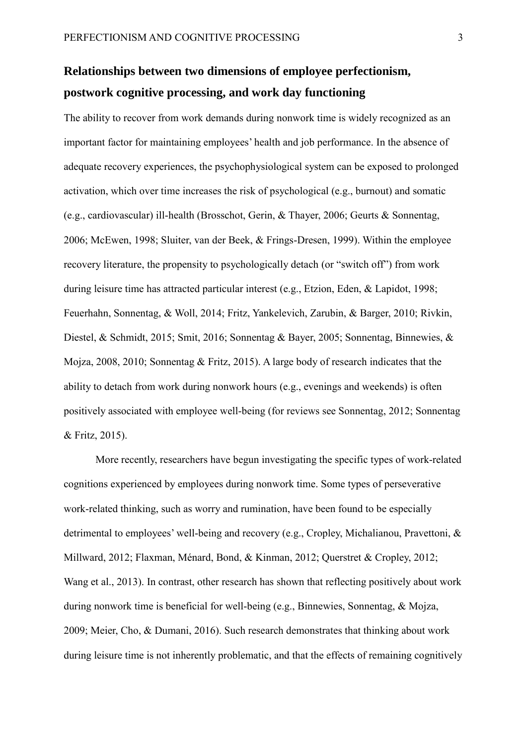# **Relationships between two dimensions of employee perfectionism, postwork cognitive processing, and work day functioning**

The ability to recover from work demands during nonwork time is widely recognized as an important factor for maintaining employees' health and job performance. In the absence of adequate recovery experiences, the psychophysiological system can be exposed to prolonged activation, which over time increases the risk of psychological (e.g., burnout) and somatic (e.g., cardiovascular) ill-health (Brosschot, Gerin, & Thayer, 2006; Geurts & Sonnentag, 2006; McEwen, 1998; Sluiter, van der Beek, & Frings-Dresen, 1999). Within the employee recovery literature, the propensity to psychologically detach (or "switch off") from work during leisure time has attracted particular interest (e.g., Etzion, Eden, & Lapidot, 1998; Feuerhahn, Sonnentag, & Woll, 2014; Fritz, Yankelevich, Zarubin, & Barger, 2010; Rivkin, Diestel, & Schmidt, 2015; Smit, 2016; Sonnentag & Bayer, 2005; Sonnentag, Binnewies, & Mojza, 2008, 2010; Sonnentag & Fritz, 2015). A large body of research indicates that the ability to detach from work during nonwork hours (e.g., evenings and weekends) is often positively associated with employee well-being (for reviews see Sonnentag, 2012; Sonnentag & Fritz, 2015).

More recently, researchers have begun investigating the specific types of work-related cognitions experienced by employees during nonwork time. Some types of perseverative work-related thinking, such as worry and rumination, have been found to be especially detrimental to employees' well-being and recovery (e.g., Cropley, Michalianou, Pravettoni, & Millward, 2012; Flaxman, Ménard, Bond, & Kinman, 2012; Querstret & Cropley, 2012; Wang et al., 2013). In contrast, other research has shown that reflecting positively about work during nonwork time is beneficial for well-being (e.g., Binnewies, Sonnentag, & Mojza, 2009; Meier, Cho, & Dumani, 2016). Such research demonstrates that thinking about work during leisure time is not inherently problematic, and that the effects of remaining cognitively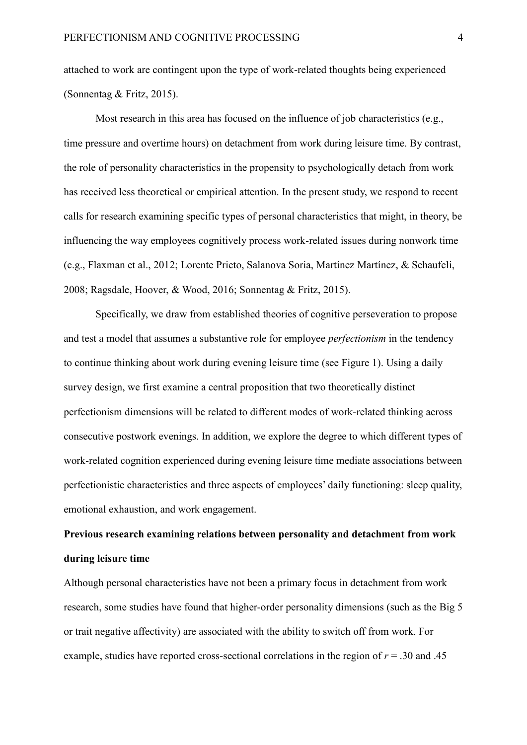attached to work are contingent upon the type of work-related thoughts being experienced (Sonnentag & Fritz, 2015).

Most research in this area has focused on the influence of job characteristics (e.g., time pressure and overtime hours) on detachment from work during leisure time. By contrast, the role of personality characteristics in the propensity to psychologically detach from work has received less theoretical or empirical attention. In the present study, we respond to recent calls for research examining specific types of personal characteristics that might, in theory, be influencing the way employees cognitively process work-related issues during nonwork time (e.g., Flaxman et al., 2012; Lorente Prieto, Salanova Soria, Martínez Martínez, & Schaufeli, 2008; Ragsdale, Hoover, & Wood, 2016; Sonnentag & Fritz, 2015).

Specifically, we draw from established theories of cognitive perseveration to propose and test a model that assumes a substantive role for employee *perfectionism* in the tendency to continue thinking about work during evening leisure time (see Figure 1). Using a daily survey design, we first examine a central proposition that two theoretically distinct perfectionism dimensions will be related to different modes of work-related thinking across consecutive postwork evenings. In addition, we explore the degree to which different types of work-related cognition experienced during evening leisure time mediate associations between perfectionistic characteristics and three aspects of employees' daily functioning: sleep quality, emotional exhaustion, and work engagement.

# **Previous research examining relations between personality and detachment from work during leisure time**

Although personal characteristics have not been a primary focus in detachment from work research, some studies have found that higher-order personality dimensions (such as the Big 5 or trait negative affectivity) are associated with the ability to switch off from work. For example, studies have reported cross-sectional correlations in the region of  $r = .30$  and .45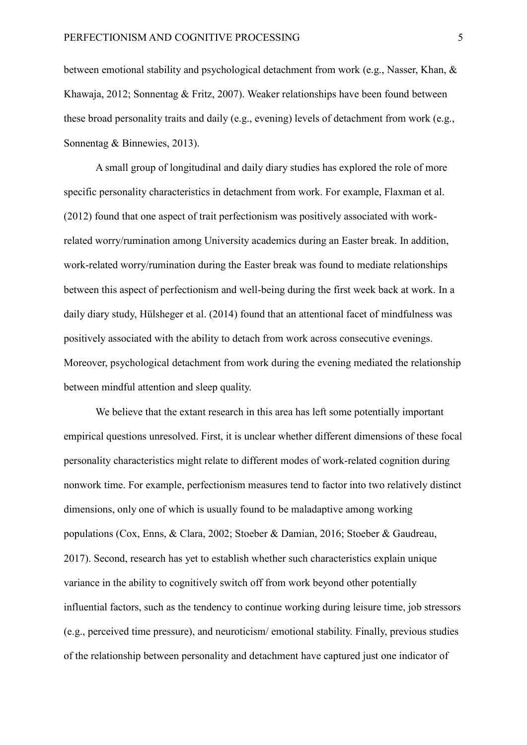between emotional stability and psychological detachment from work (e.g., Nasser, Khan, & Khawaja, 2012; Sonnentag & Fritz, 2007). Weaker relationships have been found between these broad personality traits and daily (e.g., evening) levels of detachment from work (e.g., Sonnentag & Binnewies, 2013).

A small group of longitudinal and daily diary studies has explored the role of more specific personality characteristics in detachment from work. For example, Flaxman et al. (2012) found that one aspect of trait perfectionism was positively associated with workrelated worry/rumination among University academics during an Easter break. In addition, work-related worry/rumination during the Easter break was found to mediate relationships between this aspect of perfectionism and well-being during the first week back at work. In a daily diary study, Hülsheger et al. (2014) found that an attentional facet of mindfulness was positively associated with the ability to detach from work across consecutive evenings. Moreover, psychological detachment from work during the evening mediated the relationship between mindful attention and sleep quality.

We believe that the extant research in this area has left some potentially important empirical questions unresolved. First, it is unclear whether different dimensions of these focal personality characteristics might relate to different modes of work-related cognition during nonwork time. For example, perfectionism measures tend to factor into two relatively distinct dimensions, only one of which is usually found to be maladaptive among working populations (Cox, Enns, & Clara, 2002; Stoeber & Damian, 2016; Stoeber & Gaudreau, 2017). Second, research has yet to establish whether such characteristics explain unique variance in the ability to cognitively switch off from work beyond other potentially influential factors, such as the tendency to continue working during leisure time, job stressors (e.g., perceived time pressure), and neuroticism/ emotional stability. Finally, previous studies of the relationship between personality and detachment have captured just one indicator of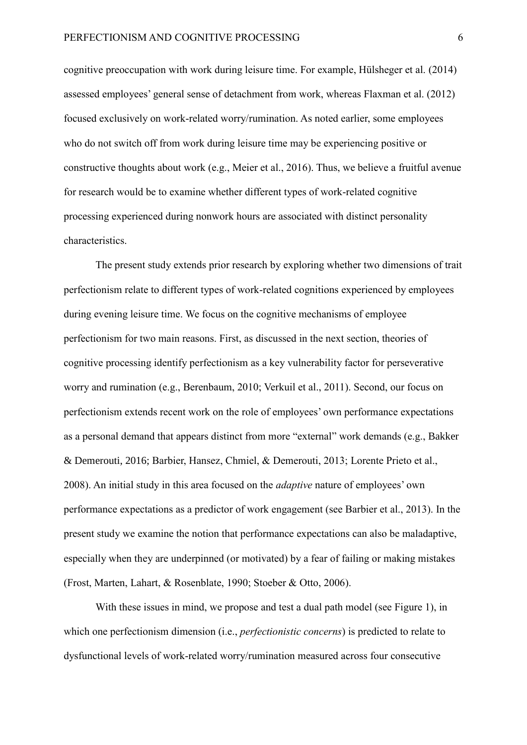cognitive preoccupation with work during leisure time. For example, Hülsheger et al. (2014) assessed employees' general sense of detachment from work, whereas Flaxman et al. (2012) focused exclusively on work-related worry/rumination. As noted earlier, some employees who do not switch off from work during leisure time may be experiencing positive or constructive thoughts about work (e.g., Meier et al., 2016). Thus, we believe a fruitful avenue for research would be to examine whether different types of work-related cognitive processing experienced during nonwork hours are associated with distinct personality characteristics.

The present study extends prior research by exploring whether two dimensions of trait perfectionism relate to different types of work-related cognitions experienced by employees during evening leisure time. We focus on the cognitive mechanisms of employee perfectionism for two main reasons. First, as discussed in the next section, theories of cognitive processing identify perfectionism as a key vulnerability factor for perseverative worry and rumination (e.g., Berenbaum, 2010; Verkuil et al., 2011). Second, our focus on perfectionism extends recent work on the role of employees' own performance expectations as a personal demand that appears distinct from more "external" work demands (e.g., Bakker & Demerouti, 2016; Barbier, Hansez, Chmiel, & Demerouti, 2013; Lorente Prieto et al., 2008). An initial study in this area focused on the *adaptive* nature of employees' own performance expectations as a predictor of work engagement (see Barbier et al., 2013). In the present study we examine the notion that performance expectations can also be maladaptive, especially when they are underpinned (or motivated) by a fear of failing or making mistakes (Frost, Marten, Lahart, & Rosenblate, 1990; Stoeber & Otto, 2006).

With these issues in mind, we propose and test a dual path model (see Figure 1), in which one perfectionism dimension (i.e., *perfectionistic concerns*) is predicted to relate to dysfunctional levels of work-related worry/rumination measured across four consecutive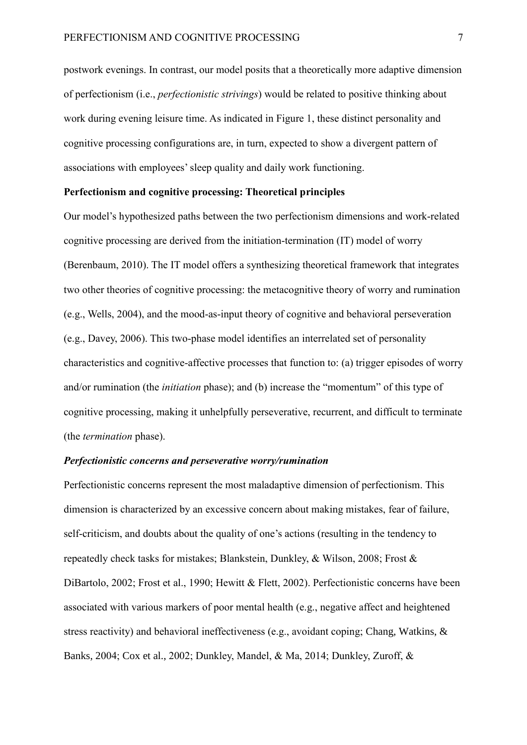postwork evenings. In contrast, our model posits that a theoretically more adaptive dimension of perfectionism (i.e., *perfectionistic strivings*) would be related to positive thinking about work during evening leisure time. As indicated in Figure 1, these distinct personality and cognitive processing configurations are, in turn, expected to show a divergent pattern of associations with employees' sleep quality and daily work functioning.

#### **Perfectionism and cognitive processing: Theoretical principles**

Our model's hypothesized paths between the two perfectionism dimensions and work-related cognitive processing are derived from the initiation-termination (IT) model of worry (Berenbaum, 2010). The IT model offers a synthesizing theoretical framework that integrates two other theories of cognitive processing: the metacognitive theory of worry and rumination (e.g., Wells, 2004), and the mood-as-input theory of cognitive and behavioral perseveration (e.g., Davey, 2006). This two-phase model identifies an interrelated set of personality characteristics and cognitive-affective processes that function to: (a) trigger episodes of worry and/or rumination (the *initiation* phase); and (b) increase the "momentum" of this type of cognitive processing, making it unhelpfully perseverative, recurrent, and difficult to terminate (the *termination* phase).

## *Perfectionistic concerns and perseverative worry/rumination*

Perfectionistic concerns represent the most maladaptive dimension of perfectionism. This dimension is characterized by an excessive concern about making mistakes, fear of failure, self-criticism, and doubts about the quality of one's actions (resulting in the tendency to repeatedly check tasks for mistakes; Blankstein, Dunkley, & Wilson, 2008; Frost & DiBartolo, 2002; Frost et al., 1990; Hewitt & Flett, 2002). Perfectionistic concerns have been associated with various markers of poor mental health (e.g., negative affect and heightened stress reactivity) and behavioral ineffectiveness (e.g., avoidant coping; Chang, Watkins, & Banks, 2004; Cox et al., 2002; Dunkley, Mandel, & Ma, 2014; Dunkley, Zuroff, &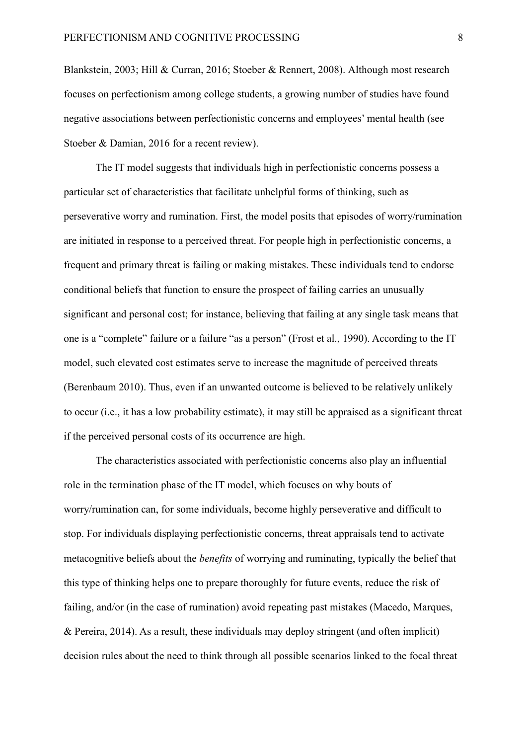Blankstein, 2003; Hill & Curran, 2016; Stoeber & Rennert, 2008). Although most research focuses on perfectionism among college students, a growing number of studies have found negative associations between perfectionistic concerns and employees' mental health (see Stoeber & Damian, 2016 for a recent review).

The IT model suggests that individuals high in perfectionistic concerns possess a particular set of characteristics that facilitate unhelpful forms of thinking, such as perseverative worry and rumination. First, the model posits that episodes of worry/rumination are initiated in response to a perceived threat. For people high in perfectionistic concerns, a frequent and primary threat is failing or making mistakes. These individuals tend to endorse conditional beliefs that function to ensure the prospect of failing carries an unusually significant and personal cost; for instance, believing that failing at any single task means that one is a "complete" failure or a failure "as a person" (Frost et al., 1990). According to the IT model, such elevated cost estimates serve to increase the magnitude of perceived threats (Berenbaum 2010). Thus, even if an unwanted outcome is believed to be relatively unlikely to occur (i.e., it has a low probability estimate), it may still be appraised as a significant threat if the perceived personal costs of its occurrence are high.

The characteristics associated with perfectionistic concerns also play an influential role in the termination phase of the IT model, which focuses on why bouts of worry/rumination can, for some individuals, become highly perseverative and difficult to stop. For individuals displaying perfectionistic concerns, threat appraisals tend to activate metacognitive beliefs about the *benefits* of worrying and ruminating, typically the belief that this type of thinking helps one to prepare thoroughly for future events, reduce the risk of failing, and/or (in the case of rumination) avoid repeating past mistakes (Macedo, Marques, & Pereira, 2014). As a result, these individuals may deploy stringent (and often implicit) decision rules about the need to think through all possible scenarios linked to the focal threat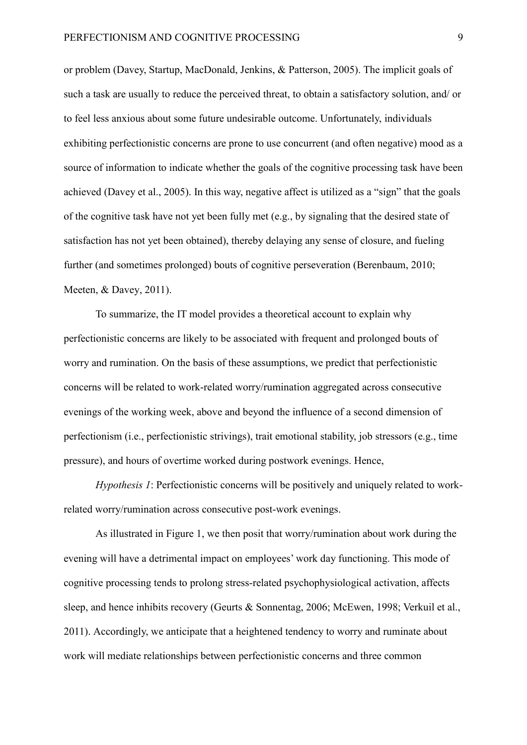or problem (Davey, Startup, MacDonald, Jenkins, & Patterson, 2005). The implicit goals of such a task are usually to reduce the perceived threat, to obtain a satisfactory solution, and/ or to feel less anxious about some future undesirable outcome. Unfortunately, individuals exhibiting perfectionistic concerns are prone to use concurrent (and often negative) mood as a source of information to indicate whether the goals of the cognitive processing task have been achieved (Davey et al., 2005). In this way, negative affect is utilized as a "sign" that the goals of the cognitive task have not yet been fully met (e.g., by signaling that the desired state of satisfaction has not yet been obtained), thereby delaying any sense of closure, and fueling further (and sometimes prolonged) bouts of cognitive perseveration (Berenbaum, 2010; Meeten, & Davey, 2011).

To summarize, the IT model provides a theoretical account to explain why perfectionistic concerns are likely to be associated with frequent and prolonged bouts of worry and rumination. On the basis of these assumptions, we predict that perfectionistic concerns will be related to work-related worry/rumination aggregated across consecutive evenings of the working week, above and beyond the influence of a second dimension of perfectionism (i.e., perfectionistic strivings), trait emotional stability, job stressors (e.g., time pressure), and hours of overtime worked during postwork evenings. Hence,

*Hypothesis 1*: Perfectionistic concerns will be positively and uniquely related to workrelated worry/rumination across consecutive post-work evenings.

As illustrated in Figure 1, we then posit that worry/rumination about work during the evening will have a detrimental impact on employees' work day functioning. This mode of cognitive processing tends to prolong stress-related psychophysiological activation, affects sleep, and hence inhibits recovery (Geurts & Sonnentag, 2006; McEwen, 1998; Verkuil et al., 2011). Accordingly, we anticipate that a heightened tendency to worry and ruminate about work will mediate relationships between perfectionistic concerns and three common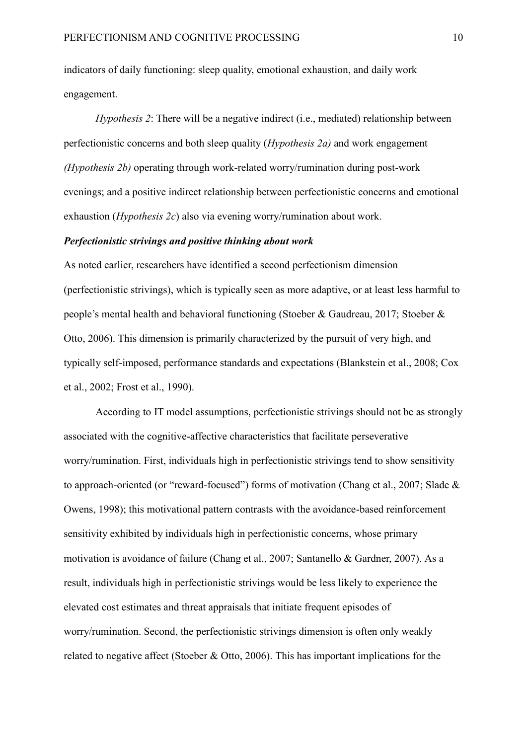indicators of daily functioning: sleep quality, emotional exhaustion, and daily work engagement.

*Hypothesis 2*: There will be a negative indirect (i.e., mediated) relationship between perfectionistic concerns and both sleep quality (*Hypothesis 2a)* and work engagement *(Hypothesis 2b)* operating through work-related worry/rumination during post-work evenings; and a positive indirect relationship between perfectionistic concerns and emotional exhaustion (*Hypothesis 2c*) also via evening worry/rumination about work.

#### *Perfectionistic strivings and positive thinking about work*

As noted earlier, researchers have identified a second perfectionism dimension (perfectionistic strivings), which is typically seen as more adaptive, or at least less harmful to people's mental health and behavioral functioning (Stoeber & Gaudreau, 2017; Stoeber & Otto, 2006). This dimension is primarily characterized by the pursuit of very high, and typically self-imposed, performance standards and expectations (Blankstein et al., 2008; Cox et al., 2002; Frost et al., 1990).

According to IT model assumptions, perfectionistic strivings should not be as strongly associated with the cognitive-affective characteristics that facilitate perseverative worry/rumination. First, individuals high in perfectionistic strivings tend to show sensitivity to approach-oriented (or "reward-focused") forms of motivation (Chang et al., 2007; Slade & Owens, 1998); this motivational pattern contrasts with the avoidance-based reinforcement sensitivity exhibited by individuals high in perfectionistic concerns, whose primary motivation is avoidance of failure (Chang et al., 2007; Santanello & Gardner, 2007). As a result, individuals high in perfectionistic strivings would be less likely to experience the elevated cost estimates and threat appraisals that initiate frequent episodes of worry/rumination. Second, the perfectionistic strivings dimension is often only weakly related to negative affect (Stoeber & Otto, 2006). This has important implications for the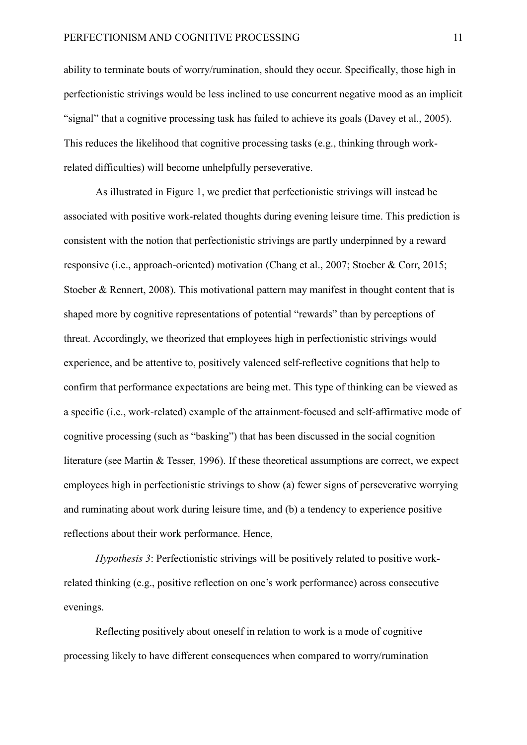ability to terminate bouts of worry/rumination, should they occur. Specifically, those high in perfectionistic strivings would be less inclined to use concurrent negative mood as an implicit "signal" that a cognitive processing task has failed to achieve its goals (Davey et al., 2005). This reduces the likelihood that cognitive processing tasks (e.g., thinking through workrelated difficulties) will become unhelpfully perseverative.

As illustrated in Figure 1, we predict that perfectionistic strivings will instead be associated with positive work-related thoughts during evening leisure time. This prediction is consistent with the notion that perfectionistic strivings are partly underpinned by a reward responsive (i.e., approach-oriented) motivation (Chang et al., 2007; Stoeber & Corr, 2015; Stoeber & Rennert, 2008). This motivational pattern may manifest in thought content that is shaped more by cognitive representations of potential "rewards" than by perceptions of threat. Accordingly, we theorized that employees high in perfectionistic strivings would experience, and be attentive to, positively valenced self-reflective cognitions that help to confirm that performance expectations are being met. This type of thinking can be viewed as a specific (i.e., work-related) example of the attainment-focused and self-affirmative mode of cognitive processing (such as "basking") that has been discussed in the social cognition literature (see Martin & Tesser, 1996). If these theoretical assumptions are correct, we expect employees high in perfectionistic strivings to show (a) fewer signs of perseverative worrying and ruminating about work during leisure time, and (b) a tendency to experience positive reflections about their work performance. Hence,

*Hypothesis 3*: Perfectionistic strivings will be positively related to positive workrelated thinking (e.g., positive reflection on one's work performance) across consecutive evenings.

Reflecting positively about oneself in relation to work is a mode of cognitive processing likely to have different consequences when compared to worry/rumination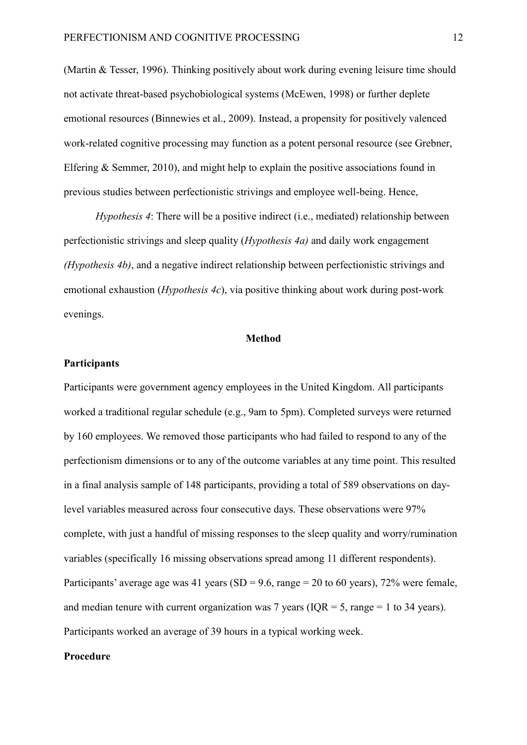(Martin & Tesser, 1996). Thinking positively about work during evening leisure time should not activate threat-based psychobiological systems (McEwen, 1998) or further deplete emotional resources (Binnewies et al., 2009). Instead, a propensity for positively valenced work-related cognitive processing may function as a potent personal resource (see [Grebner,](http://www.emeraldinsight.com/action/doSearch?ContribStored=Grebner%2C+S) [Elfering](http://www.emeraldinsight.com/action/doSearch?ContribStored=Elfering%2C+A)  $&$  Semmer, 2010), and might help to explain the positive associations found in previous studies between perfectionistic strivings and employee well-being. Hence,

*Hypothesis 4*: There will be a positive indirect (i.e., mediated) relationship between perfectionistic strivings and sleep quality (*Hypothesis 4a)* and daily work engagement *(Hypothesis 4b)*, and a negative indirect relationship between perfectionistic strivings and emotional exhaustion (*Hypothesis 4c*), via positive thinking about work during post-work evenings.

#### **Method**

#### **Participants**

Participants were government agency employees in the United Kingdom. All participants worked a traditional regular schedule (e.g., 9am to 5pm). Completed surveys were returned by 160 employees. We removed those participants who had failed to respond to any of the perfectionism dimensions or to any of the outcome variables at any time point. This resulted in a final analysis sample of 148 participants, providing a total of 589 observations on daylevel variables measured across four consecutive days. These observations were 97% complete, with just a handful of missing responses to the sleep quality and worry/rumination variables (specifically 16 missing observations spread among 11 different respondents). Participants' average age was 41 years (SD = 9.6, range = 20 to 60 years), 72% were female, and median tenure with current organization was 7 years ( $IQR = 5$ , range = 1 to 34 years). Participants worked an average of 39 hours in a typical working week.

#### **Procedure**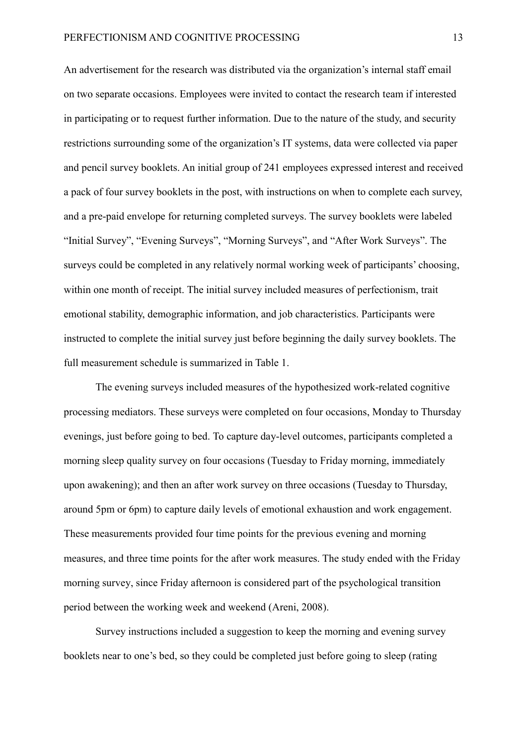An advertisement for the research was distributed via the organization's internal staff email on two separate occasions. Employees were invited to contact the research team if interested in participating or to request further information. Due to the nature of the study, and security restrictions surrounding some of the organization's IT systems, data were collected via paper and pencil survey booklets. An initial group of 241 employees expressed interest and received a pack of four survey booklets in the post, with instructions on when to complete each survey, and a pre-paid envelope for returning completed surveys. The survey booklets were labeled "Initial Survey", "Evening Surveys", "Morning Surveys", and "After Work Surveys". The surveys could be completed in any relatively normal working week of participants' choosing, within one month of receipt. The initial survey included measures of perfectionism, trait emotional stability, demographic information, and job characteristics. Participants were instructed to complete the initial survey just before beginning the daily survey booklets. The full measurement schedule is summarized in Table 1.

The evening surveys included measures of the hypothesized work-related cognitive processing mediators. These surveys were completed on four occasions, Monday to Thursday evenings, just before going to bed. To capture day-level outcomes, participants completed a morning sleep quality survey on four occasions (Tuesday to Friday morning, immediately upon awakening); and then an after work survey on three occasions (Tuesday to Thursday, around 5pm or 6pm) to capture daily levels of emotional exhaustion and work engagement. These measurements provided four time points for the previous evening and morning measures, and three time points for the after work measures. The study ended with the Friday morning survey, since Friday afternoon is considered part of the psychological transition period between the working week and weekend (Areni, 2008).

Survey instructions included a suggestion to keep the morning and evening survey booklets near to one's bed, so they could be completed just before going to sleep (rating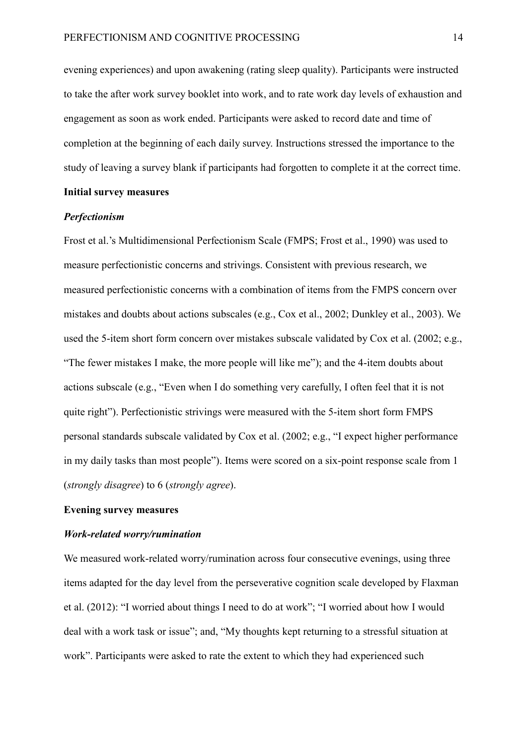evening experiences) and upon awakening (rating sleep quality). Participants were instructed to take the after work survey booklet into work, and to rate work day levels of exhaustion and engagement as soon as work ended. Participants were asked to record date and time of completion at the beginning of each daily survey. Instructions stressed the importance to the study of leaving a survey blank if participants had forgotten to complete it at the correct time.

# **Initial survey measures**

#### *Perfectionism*

Frost et al.'s Multidimensional Perfectionism Scale (FMPS; Frost et al., 1990) was used to measure perfectionistic concerns and strivings. Consistent with previous research, we measured perfectionistic concerns with a combination of items from the FMPS concern over mistakes and doubts about actions subscales (e.g., Cox et al., 2002; Dunkley et al., 2003). We used the 5-item short form concern over mistakes subscale validated by Cox et al. (2002; e.g., "The fewer mistakes I make, the more people will like me"); and the 4-item doubts about actions subscale (e.g., "Even when I do something very carefully, I often feel that it is not quite right"). Perfectionistic strivings were measured with the 5-item short form FMPS personal standards subscale validated by Cox et al. (2002; e.g., "I expect higher performance in my daily tasks than most people"). Items were scored on a six-point response scale from 1 (*strongly disagree*) to 6 (*strongly agree*).

#### **Evening survey measures**

#### *Work-related worry/rumination*

We measured work-related worry/rumination across four consecutive evenings, using three items adapted for the day level from the perseverative cognition scale developed by Flaxman et al. (2012): "I worried about things I need to do at work"; "I worried about how I would deal with a work task or issue"; and, "My thoughts kept returning to a stressful situation at work". Participants were asked to rate the extent to which they had experienced such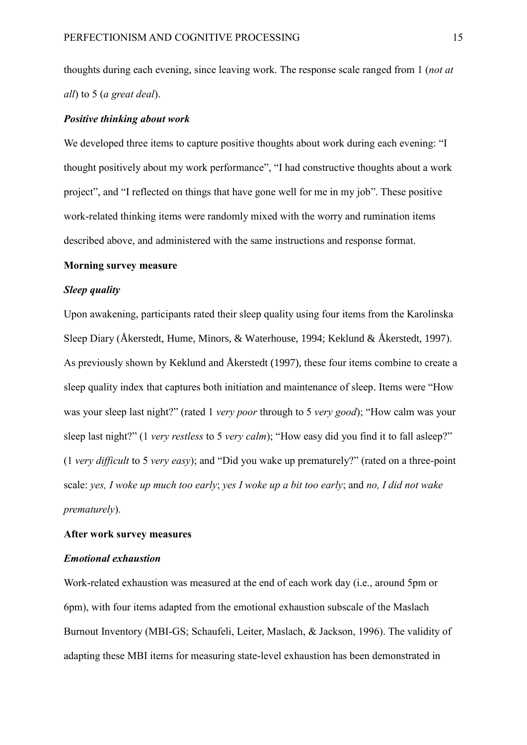thoughts during each evening, since leaving work. The response scale ranged from 1 (*not at all*) to 5 (*a great deal*).

#### *Positive thinking about work*

We developed three items to capture positive thoughts about work during each evening: "I thought positively about my work performance", "I had constructive thoughts about a work project", and "I reflected on things that have gone well for me in my job". These positive work-related thinking items were randomly mixed with the worry and rumination items described above, and administered with the same instructions and response format.

#### **Morning survey measure**

#### *Sleep quality*

Upon awakening, participants rated their sleep quality using four items from the Karolinska Sleep Diary (Åkerstedt, Hume, Minors, & Waterhouse, 1994; Keklund & Åkerstedt, 1997). As previously shown by Keklund and Åkerstedt (1997), these four items combine to create a sleep quality index that captures both initiation and maintenance of sleep. Items were "How was your sleep last night?" (rated 1 *very poor* through to 5 *very good*); "How calm was your sleep last night?" (1 *very restless* to 5 *very calm*); "How easy did you find it to fall asleep?" (1 *very difficult* to 5 *very easy*); and "Did you wake up prematurely?" (rated on a three-point scale: *yes, I woke up much too early*; *yes I woke up a bit too early*; and *no, I did not wake prematurely*).

#### **After work survey measures**

#### *Emotional exhaustion*

Work-related exhaustion was measured at the end of each work day (i.e., around 5pm or 6pm), with four items adapted from the emotional exhaustion subscale of the Maslach Burnout Inventory (MBI-GS; Schaufeli, Leiter, Maslach, & Jackson, 1996). The validity of adapting these MBI items for measuring state-level exhaustion has been demonstrated in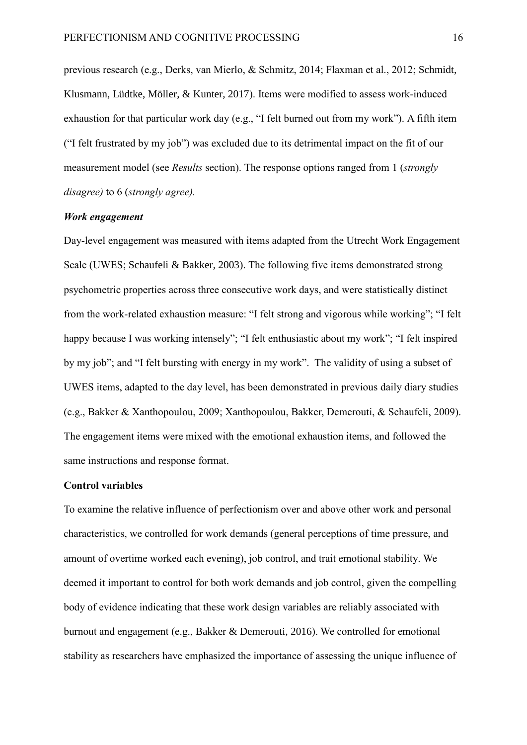previous research (e.g., Derks, van Mierlo, & Schmitz, 2014; Flaxman et al., 2012; Schmidt, Klusmann, Lüdtke, Möller, & Kunter, 2017). Items were modified to assess work-induced exhaustion for that particular work day (e.g., "I felt burned out from my work"). A fifth item ("I felt frustrated by my job") was excluded due to its detrimental impact on the fit of our measurement model (see *Results* section). The response options ranged from 1 (*strongly disagree)* to 6 (*strongly agree).*

#### *Work engagement*

Day-level engagement was measured with items adapted from the Utrecht Work Engagement Scale (UWES; Schaufeli & Bakker, 2003). The following five items demonstrated strong psychometric properties across three consecutive work days, and were statistically distinct from the work-related exhaustion measure: "I felt strong and vigorous while working"; "I felt happy because I was working intensely"; "I felt enthusiastic about my work"; "I felt inspired by my job"; and "I felt bursting with energy in my work". The validity of using a subset of UWES items, adapted to the day level, has been demonstrated in previous daily diary studies (e.g., Bakker & Xanthopoulou, 2009; Xanthopoulou, Bakker, Demerouti, & Schaufeli, 2009). The engagement items were mixed with the emotional exhaustion items, and followed the same instructions and response format.

#### **Control variables**

To examine the relative influence of perfectionism over and above other work and personal characteristics, we controlled for work demands (general perceptions of time pressure, and amount of overtime worked each evening), job control, and trait emotional stability. We deemed it important to control for both work demands and job control, given the compelling body of evidence indicating that these work design variables are reliably associated with burnout and engagement (e.g., Bakker & Demerouti, 2016). We controlled for emotional stability as researchers have emphasized the importance of assessing the unique influence of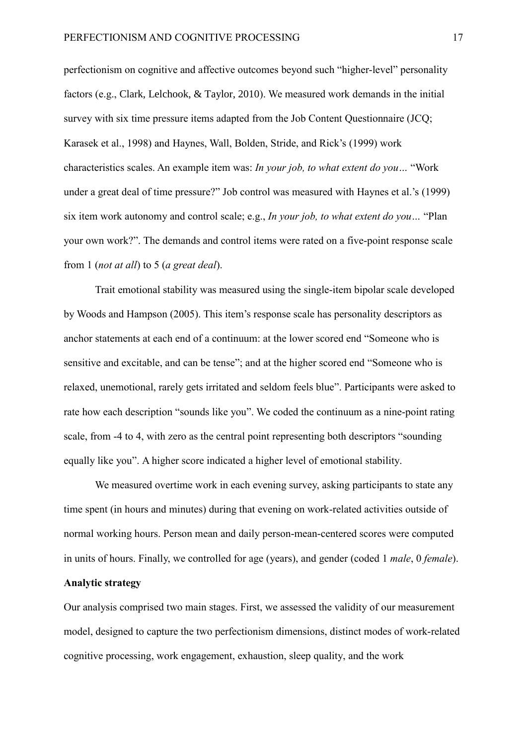perfectionism on cognitive and affective outcomes beyond such "higher-level" personality factors (e.g., Clark, Lelchook, & Taylor, 2010). We measured work demands in the initial survey with six time pressure items adapted from the Job Content Questionnaire (JCQ; Karasek et al., 1998) and Haynes, Wall, Bolden, Stride, and Rick's (1999) work characteristics scales. An example item was: *In your job, to what extent do you…* "Work under a great deal of time pressure?" Job control was measured with Haynes et al.'s (1999) six item work autonomy and control scale; e.g., *In your job, to what extent do you…* "Plan your own work?". The demands and control items were rated on a five-point response scale from 1 (*not at all*) to 5 (*a great deal*).

Trait emotional stability was measured using the single-item bipolar scale developed by Woods and Hampson (2005). This item's response scale has personality descriptors as anchor statements at each end of a continuum: at the lower scored end "Someone who is sensitive and excitable, and can be tense"; and at the higher scored end "Someone who is relaxed, unemotional, rarely gets irritated and seldom feels blue". Participants were asked to rate how each description "sounds like you". We coded the continuum as a nine-point rating scale, from -4 to 4, with zero as the central point representing both descriptors "sounding equally like you". A higher score indicated a higher level of emotional stability.

We measured overtime work in each evening survey, asking participants to state any time spent (in hours and minutes) during that evening on work-related activities outside of normal working hours. Person mean and daily person-mean-centered scores were computed in units of hours. Finally, we controlled for age (years), and gender (coded 1 *male*, 0 *female*).

#### **Analytic strategy**

Our analysis comprised two main stages. First, we assessed the validity of our measurement model, designed to capture the two perfectionism dimensions, distinct modes of work-related cognitive processing, work engagement, exhaustion, sleep quality, and the work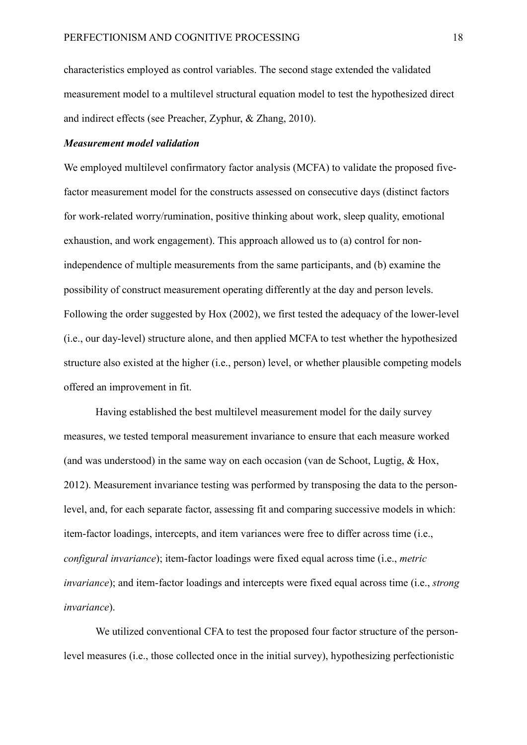characteristics employed as control variables. The second stage extended the validated measurement model to a multilevel structural equation model to test the hypothesized direct and indirect effects (see Preacher, Zyphur, & Zhang, 2010).

#### *Measurement model validation*

We employed multilevel confirmatory factor analysis (MCFA) to validate the proposed fivefactor measurement model for the constructs assessed on consecutive days (distinct factors for work-related worry/rumination, positive thinking about work, sleep quality, emotional exhaustion, and work engagement). This approach allowed us to (a) control for nonindependence of multiple measurements from the same participants, and (b) examine the possibility of construct measurement operating differently at the day and person levels. Following the order suggested by Hox (2002), we first tested the adequacy of the lower-level (i.e., our day-level) structure alone, and then applied MCFA to test whether the hypothesized structure also existed at the higher (i.e., person) level, or whether plausible competing models offered an improvement in fit.

Having established the best multilevel measurement model for the daily survey measures, we tested temporal measurement invariance to ensure that each measure worked (and was understood) in the same way on each occasion (van de Schoot, Lugtig, & Hox, 2012). Measurement invariance testing was performed by transposing the data to the personlevel, and, for each separate factor, assessing fit and comparing successive models in which: item-factor loadings, intercepts, and item variances were free to differ across time (i.e., *configural invariance*); item-factor loadings were fixed equal across time (i.e., *metric invariance*); and item-factor loadings and intercepts were fixed equal across time (i.e., *strong invariance*).

We utilized conventional CFA to test the proposed four factor structure of the personlevel measures (i.e., those collected once in the initial survey), hypothesizing perfectionistic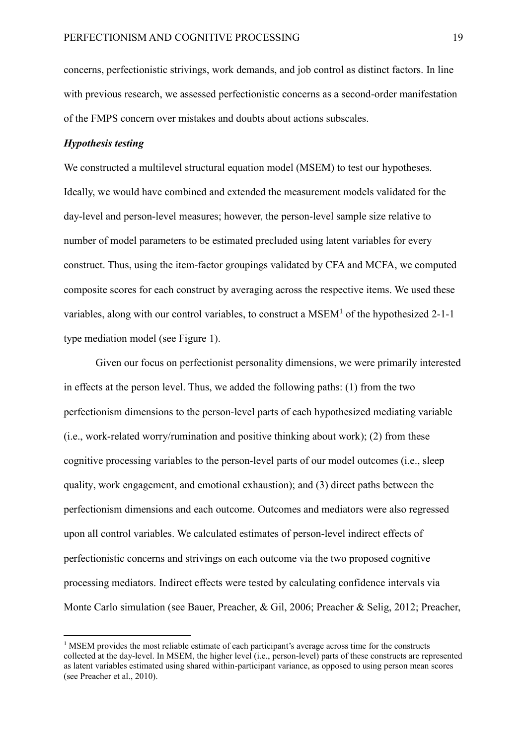concerns, perfectionistic strivings, work demands, and job control as distinct factors. In line with previous research, we assessed perfectionistic concerns as a second-order manifestation of the FMPS concern over mistakes and doubts about actions subscales.

#### *Hypothesis testing*

1

We constructed a multilevel structural equation model (MSEM) to test our hypotheses. Ideally, we would have combined and extended the measurement models validated for the day-level and person-level measures; however, the person-level sample size relative to number of model parameters to be estimated precluded using latent variables for every construct. Thus, using the item-factor groupings validated by CFA and MCFA, we computed composite scores for each construct by averaging across the respective items. We used these variables, along with our control variables, to construct a MSEM<sup>1</sup> of the hypothesized 2-1-1 type mediation model (see Figure 1).

Given our focus on perfectionist personality dimensions, we were primarily interested in effects at the person level. Thus, we added the following paths: (1) from the two perfectionism dimensions to the person-level parts of each hypothesized mediating variable (i.e., work-related worry/rumination and positive thinking about work); (2) from these cognitive processing variables to the person-level parts of our model outcomes (i.e., sleep quality, work engagement, and emotional exhaustion); and (3) direct paths between the perfectionism dimensions and each outcome. Outcomes and mediators were also regressed upon all control variables. We calculated estimates of person-level indirect effects of perfectionistic concerns and strivings on each outcome via the two proposed cognitive processing mediators. Indirect effects were tested by calculating confidence intervals via Monte Carlo simulation (see Bauer, Preacher, & Gil, 2006; Preacher & Selig, 2012; Preacher,

 $<sup>1</sup>$  MSEM provides the most reliable estimate of each participant's average across time for the constructs</sup> collected at the day-level. In MSEM, the higher level (i.e., person-level) parts of these constructs are represented as latent variables estimated using shared within-participant variance, as opposed to using person mean scores (see Preacher et al., 2010).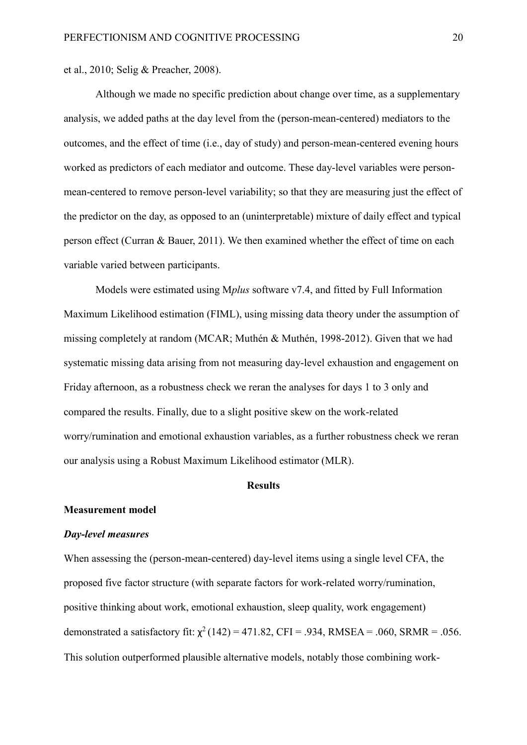et al., 2010; Selig & Preacher, 2008).

Although we made no specific prediction about change over time, as a supplementary analysis, we added paths at the day level from the (person-mean-centered) mediators to the outcomes, and the effect of time (i.e., day of study) and person-mean-centered evening hours worked as predictors of each mediator and outcome. These day-level variables were personmean-centered to remove person-level variability; so that they are measuring just the effect of the predictor on the day, as opposed to an (uninterpretable) mixture of daily effect and typical person effect (Curran & Bauer, 2011). We then examined whether the effect of time on each variable varied between participants.

Models were estimated using M*plus* software v7.4, and fitted by Full Information Maximum Likelihood estimation (FIML), using missing data theory under the assumption of missing completely at random (MCAR; Muthén & Muthén, 1998-2012). Given that we had systematic missing data arising from not measuring day-level exhaustion and engagement on Friday afternoon, as a robustness check we reran the analyses for days 1 to 3 only and compared the results. Finally, due to a slight positive skew on the work-related worry/rumination and emotional exhaustion variables, as a further robustness check we reran our analysis using a Robust Maximum Likelihood estimator (MLR).

#### **Results**

#### **Measurement model**

#### *Day-level measures*

When assessing the (person-mean-centered) day-level items using a single level CFA, the proposed five factor structure (with separate factors for work-related worry/rumination, positive thinking about work, emotional exhaustion, sleep quality, work engagement) demonstrated a satisfactory fit:  $\chi^2(142) = 471.82$ , CFI = .934, RMSEA = .060, SRMR = .056. This solution outperformed plausible alternative models, notably those combining work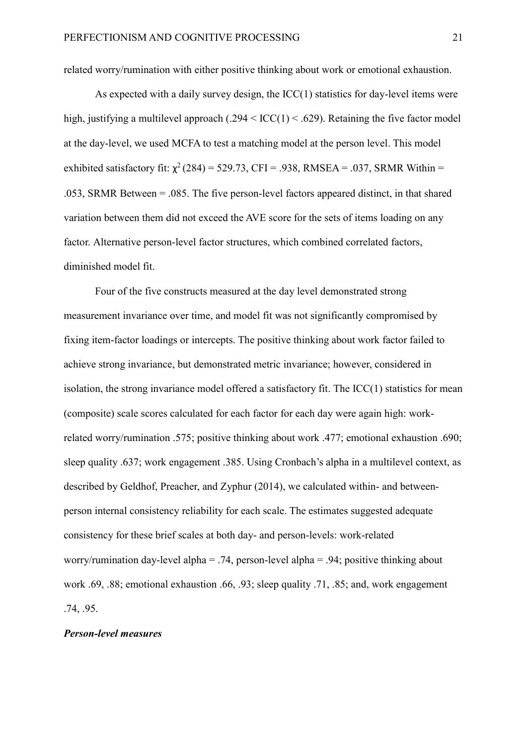related worry/rumination with either positive thinking about work or emotional exhaustion.

As expected with a daily survey design, the ICC(1) statistics for day-level items were high, justifying a multilevel approach  $(.294 \leq ICC(1) \leq .629)$ . Retaining the five factor model at the day-level, we used MCFA to test a matching model at the person level. This model exhibited satisfactory fit:  $\chi^2$  (284) = 529.73, CFI = .938, RMSEA = .037, SRMR Within = .053, SRMR Between = .085. The five person-level factors appeared distinct, in that shared variation between them did not exceed the AVE score for the sets of items loading on any factor. Alternative person-level factor structures, which combined correlated factors, diminished model fit.

Four of the five constructs measured at the day level demonstrated strong measurement invariance over time, and model fit was not significantly compromised by fixing item-factor loadings or intercepts. The positive thinking about work factor failed to achieve strong invariance, but demonstrated metric invariance; however, considered in isolation, the strong invariance model offered a satisfactory fit. The ICC(1) statistics for mean (composite) scale scores calculated for each factor for each day were again high: workrelated worry/rumination .575; positive thinking about work .477; emotional exhaustion .690; sleep quality .637; work engagement .385. Using Cronbach's alpha in a multilevel context, as described by Geldhof, Preacher, and Zyphur (2014), we calculated within- and betweenperson internal consistency reliability for each scale. The estimates suggested adequate consistency for these brief scales at both day- and person-levels: work-related worry/rumination day-level alpha = .74, person-level alpha = .94; positive thinking about work .69, .88; emotional exhaustion .66, .93; sleep quality .71, .85; and, work engagement .74, .95.

## *Person-level measures*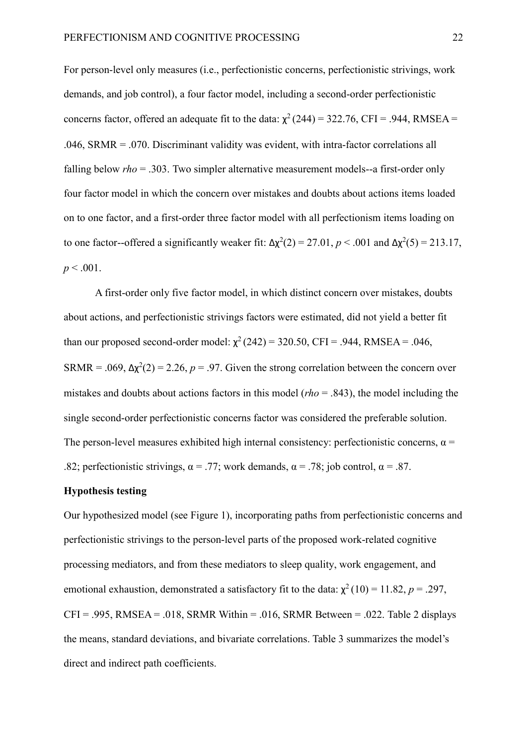For person-level only measures (i.e., perfectionistic concerns, perfectionistic strivings, work demands, and job control), a four factor model, including a second-order perfectionistic concerns factor, offered an adequate fit to the data:  $\chi^2$  (244) = 322.76, CFI = .944, RMSEA = .046, SRMR = .070. Discriminant validity was evident, with intra-factor correlations all falling below *rho* = .303. Two simpler alternative measurement models--a first-order only four factor model in which the concern over mistakes and doubts about actions items loaded on to one factor, and a first-order three factor model with all perfectionism items loading on to one factor--offered a significantly weaker fit:  $\Delta \chi^2(2) = 27.01$ ,  $p < .001$  and  $\Delta \chi^2(5) = 213.17$ ,  $p < .001$ .

A first-order only five factor model, in which distinct concern over mistakes, doubts about actions, and perfectionistic strivings factors were estimated, did not yield a better fit than our proposed second-order model:  $\chi^2(242) = 320.50$ , CFI = .944, RMSEA = .046, SRMR = .069,  $\Delta \chi^2(2) = 2.26$ ,  $p = .97$ . Given the strong correlation between the concern over mistakes and doubts about actions factors in this model (*rho* = .843), the model including the single second-order perfectionistic concerns factor was considered the preferable solution. The person-level measures exhibited high internal consistency: perfectionistic concerns,  $\alpha$  = .82; perfectionistic strivings,  $\alpha = .77$ ; work demands,  $\alpha = .78$ ; job control,  $\alpha = .87$ .

#### **Hypothesis testing**

Our hypothesized model (see Figure 1), incorporating paths from perfectionistic concerns and perfectionistic strivings to the person-level parts of the proposed work-related cognitive processing mediators, and from these mediators to sleep quality, work engagement, and emotional exhaustion, demonstrated a satisfactory fit to the data:  $\chi^2(10) = 11.82$ ,  $p = .297$ ,  $CFI = .995$ , RMSEA = .018, SRMR Within = .016, SRMR Between = .022. Table 2 displays the means, standard deviations, and bivariate correlations. Table 3 summarizes the model's direct and indirect path coefficients.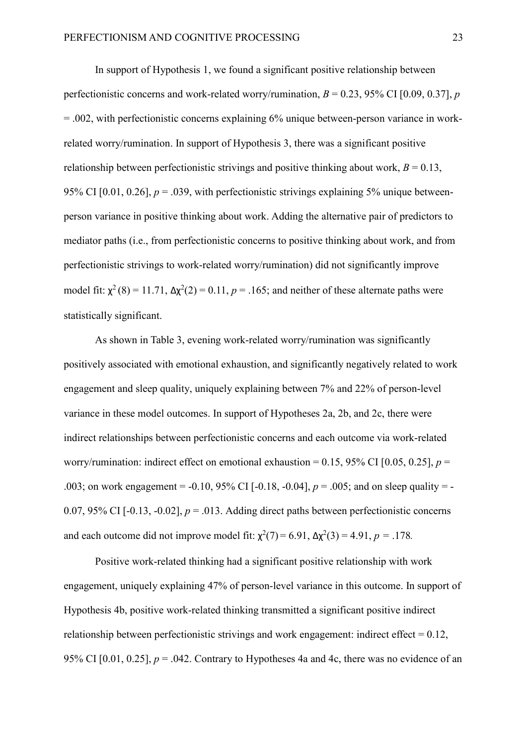In support of Hypothesis 1, we found a significant positive relationship between perfectionistic concerns and work-related worry/rumination,  $B = 0.23$ , 95% CI [0.09, 0.37], *p*  $= .002$ , with perfectionistic concerns explaining 6% unique between-person variance in workrelated worry/rumination. In support of Hypothesis 3, there was a significant positive relationship between perfectionistic strivings and positive thinking about work,  $B = 0.13$ , 95% CI  $[0.01, 0.26]$ ,  $p = .039$ , with perfectionistic strivings explaining 5% unique betweenperson variance in positive thinking about work. Adding the alternative pair of predictors to mediator paths (i.e., from perfectionistic concerns to positive thinking about work, and from perfectionistic strivings to work-related worry/rumination) did not significantly improve model fit:  $\chi^2$ (8) = 11.71,  $\Delta \chi^2$ (2) = 0.11, *p* = .165; and neither of these alternate paths were statistically significant.

As shown in Table 3, evening work-related worry/rumination was significantly positively associated with emotional exhaustion, and significantly negatively related to work engagement and sleep quality, uniquely explaining between 7% and 22% of person-level variance in these model outcomes. In support of Hypotheses 2a, 2b, and 2c, there were indirect relationships between perfectionistic concerns and each outcome via work-related worry/rumination: indirect effect on emotional exhaustion =  $0.15$ , 95% CI [ $0.05$ ,  $0.25$ ],  $p =$ .003; on work engagement = -0.10, 95% CI [-0.18, -0.04], *p* = .005; and on sleep quality = - 0.07, 95% CI  $[-0.13, -0.02]$ ,  $p = .013$ . Adding direct paths between perfectionistic concerns and each outcome did not improve model fit:  $\chi^2(7) = 6.91$ ,  $\Delta \chi^2(3) = 4.91$ ,  $p = .178$ .

Positive work-related thinking had a significant positive relationship with work engagement, uniquely explaining 47% of person-level variance in this outcome. In support of Hypothesis 4b, positive work-related thinking transmitted a significant positive indirect relationship between perfectionistic strivings and work engagement: indirect effect  $= 0.12$ , 95% CI  $[0.01, 0.25]$ ,  $p = .042$ . Contrary to Hypotheses 4a and 4c, there was no evidence of an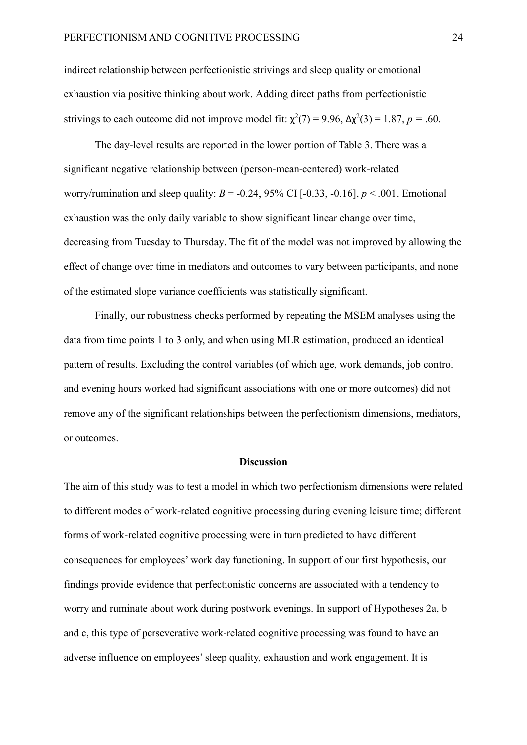indirect relationship between perfectionistic strivings and sleep quality or emotional exhaustion via positive thinking about work. Adding direct paths from perfectionistic strivings to each outcome did not improve model fit:  $\chi^2(7) = 9.96$ ,  $\Delta \chi^2(3) = 1.87$ ,  $p = .60$ .

The day-level results are reported in the lower portion of Table 3. There was a significant negative relationship between (person-mean-centered) work-related worry/rumination and sleep quality:  $B = -0.24$ , 95% CI  $[-0.33, -0.16]$ ,  $p < .001$ . Emotional exhaustion was the only daily variable to show significant linear change over time, decreasing from Tuesday to Thursday. The fit of the model was not improved by allowing the effect of change over time in mediators and outcomes to vary between participants, and none of the estimated slope variance coefficients was statistically significant.

Finally, our robustness checks performed by repeating the MSEM analyses using the data from time points 1 to 3 only, and when using MLR estimation, produced an identical pattern of results. Excluding the control variables (of which age, work demands, job control and evening hours worked had significant associations with one or more outcomes) did not remove any of the significant relationships between the perfectionism dimensions, mediators, or outcomes.

#### **Discussion**

The aim of this study was to test a model in which two perfectionism dimensions were related to different modes of work-related cognitive processing during evening leisure time; different forms of work-related cognitive processing were in turn predicted to have different consequences for employees' work day functioning. In support of our first hypothesis, our findings provide evidence that perfectionistic concerns are associated with a tendency to worry and ruminate about work during postwork evenings. In support of Hypotheses 2a, b and c, this type of perseverative work-related cognitive processing was found to have an adverse influence on employees' sleep quality, exhaustion and work engagement. It is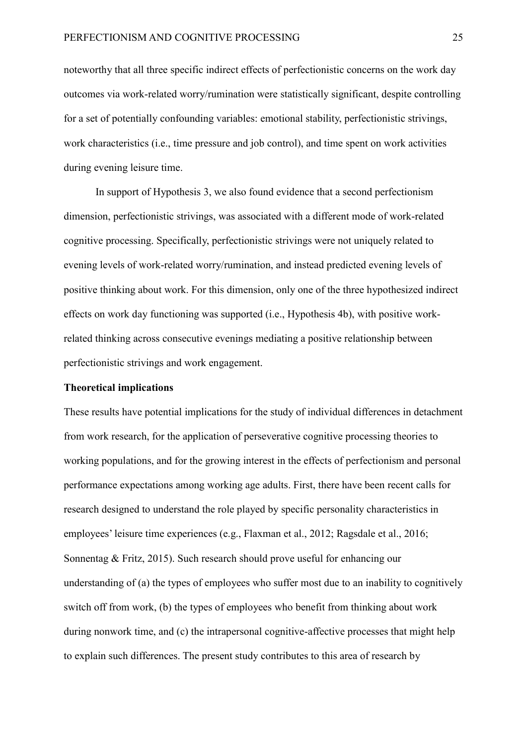noteworthy that all three specific indirect effects of perfectionistic concerns on the work day outcomes via work-related worry/rumination were statistically significant, despite controlling for a set of potentially confounding variables: emotional stability, perfectionistic strivings, work characteristics (i.e., time pressure and job control), and time spent on work activities during evening leisure time.

In support of Hypothesis 3, we also found evidence that a second perfectionism dimension, perfectionistic strivings, was associated with a different mode of work-related cognitive processing. Specifically, perfectionistic strivings were not uniquely related to evening levels of work-related worry/rumination, and instead predicted evening levels of positive thinking about work. For this dimension, only one of the three hypothesized indirect effects on work day functioning was supported (i.e., Hypothesis 4b), with positive workrelated thinking across consecutive evenings mediating a positive relationship between perfectionistic strivings and work engagement.

#### **Theoretical implications**

These results have potential implications for the study of individual differences in detachment from work research, for the application of perseverative cognitive processing theories to working populations, and for the growing interest in the effects of perfectionism and personal performance expectations among working age adults. First, there have been recent calls for research designed to understand the role played by specific personality characteristics in employees' leisure time experiences (e.g., Flaxman et al., 2012; Ragsdale et al., 2016; Sonnentag & Fritz, 2015). Such research should prove useful for enhancing our understanding of (a) the types of employees who suffer most due to an inability to cognitively switch off from work, (b) the types of employees who benefit from thinking about work during nonwork time, and (c) the intrapersonal cognitive-affective processes that might help to explain such differences. The present study contributes to this area of research by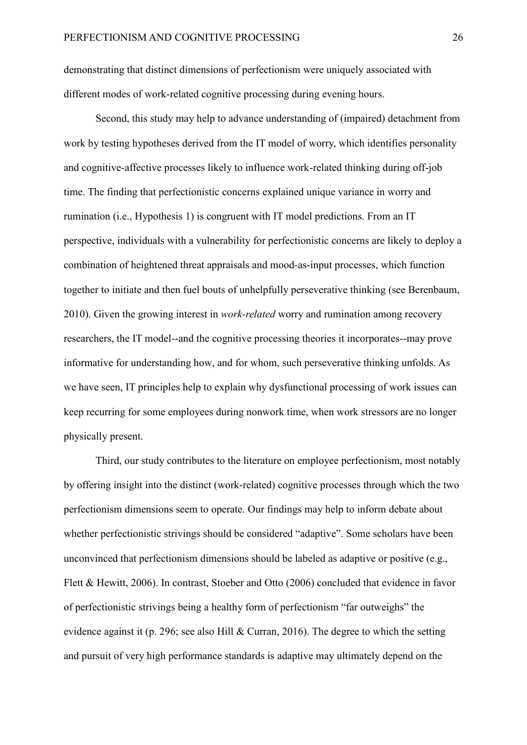demonstrating that distinct dimensions of perfectionism were uniquely associated with different modes of work-related cognitive processing during evening hours.

Second, this study may help to advance understanding of (impaired) detachment from work by testing hypotheses derived from the IT model of worry, which identifies personality and cognitive-affective processes likely to influence work-related thinking during off-job time. The finding that perfectionistic concerns explained unique variance in worry and rumination (i.e., Hypothesis 1) is congruent with IT model predictions. From an IT perspective, individuals with a vulnerability for perfectionistic concerns are likely to deploy a combination of heightened threat appraisals and mood-as-input processes, which function together to initiate and then fuel bouts of unhelpfully perseverative thinking (see Berenbaum, 2010). Given the growing interest in *work-related* worry and rumination among recovery researchers, the IT model--and the cognitive processing theories it incorporates--may prove informative for understanding how, and for whom, such perseverative thinking unfolds. As we have seen, IT principles help to explain why dysfunctional processing of work issues can keep recurring for some employees during nonwork time, when work stressors are no longer physically present.

Third, our study contributes to the literature on employee perfectionism, most notably by offering insight into the distinct (work-related) cognitive processes through which the two perfectionism dimensions seem to operate. Our findings may help to inform debate about whether perfectionistic strivings should be considered "adaptive". Some scholars have been unconvinced that perfectionism dimensions should be labeled as adaptive or positive (e.g., Flett & Hewitt, 2006). In contrast, Stoeber and Otto (2006) concluded that evidence in favor of perfectionistic strivings being a healthy form of perfectionism "far outweighs" the evidence against it (p. 296; see also Hill & Curran, 2016). The degree to which the setting and pursuit of very high performance standards is adaptive may ultimately depend on the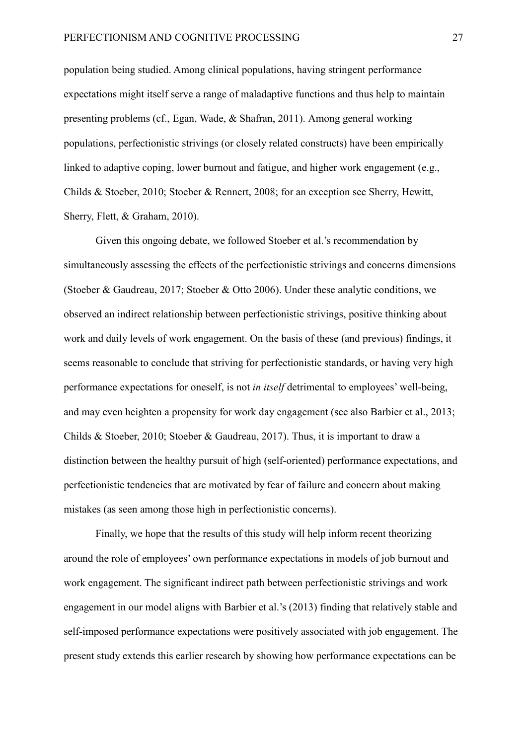population being studied. Among clinical populations, having stringent performance expectations might itself serve a range of maladaptive functions and thus help to maintain presenting problems (cf., Egan, Wade, & Shafran, 2011). Among general working populations, perfectionistic strivings (or closely related constructs) have been empirically linked to adaptive coping, lower burnout and fatigue, and higher work engagement (e.g., Childs & Stoeber, 2010; Stoeber & Rennert, 2008; for an exception see Sherry, Hewitt, Sherry, Flett, & Graham, 2010).

Given this ongoing debate, we followed Stoeber et al.'s recommendation by simultaneously assessing the effects of the perfectionistic strivings and concerns dimensions (Stoeber & Gaudreau, 2017; Stoeber & Otto 2006). Under these analytic conditions, we observed an indirect relationship between perfectionistic strivings, positive thinking about work and daily levels of work engagement. On the basis of these (and previous) findings, it seems reasonable to conclude that striving for perfectionistic standards, or having very high performance expectations for oneself, is not *in itself* detrimental to employees' well-being, and may even heighten a propensity for work day engagement (see also Barbier et al., 2013; Childs & Stoeber, 2010; Stoeber & Gaudreau, 2017). Thus, it is important to draw a distinction between the healthy pursuit of high (self-oriented) performance expectations, and perfectionistic tendencies that are motivated by fear of failure and concern about making mistakes (as seen among those high in perfectionistic concerns).

Finally, we hope that the results of this study will help inform recent theorizing around the role of employees' own performance expectations in models of job burnout and work engagement. The significant indirect path between perfectionistic strivings and work engagement in our model aligns with Barbier et al.'s (2013) finding that relatively stable and self-imposed performance expectations were positively associated with job engagement. The present study extends this earlier research by showing how performance expectations can be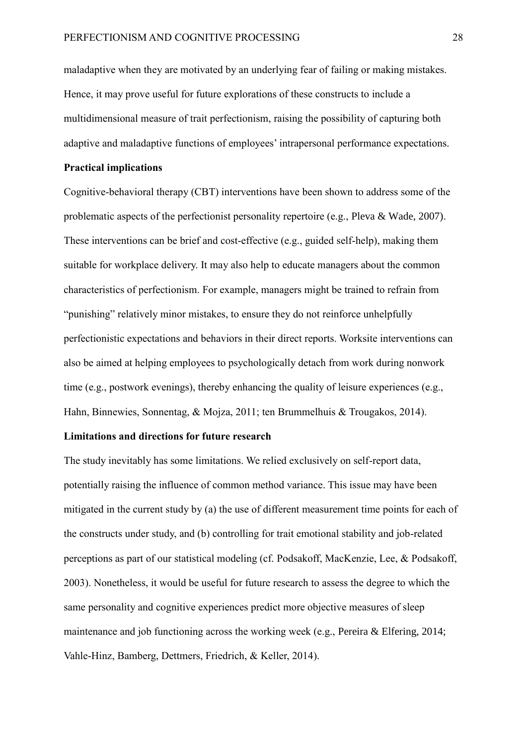maladaptive when they are motivated by an underlying fear of failing or making mistakes. Hence, it may prove useful for future explorations of these constructs to include a multidimensional measure of trait perfectionism, raising the possibility of capturing both adaptive and maladaptive functions of employees' intrapersonal performance expectations.

#### **Practical implications**

Cognitive-behavioral therapy (CBT) interventions have been shown to address some of the problematic aspects of the perfectionist personality repertoire (e.g., Pleva & Wade, 2007). These interventions can be brief and cost-effective (e.g., guided self-help), making them suitable for workplace delivery. It may also help to educate managers about the common characteristics of perfectionism. For example, managers might be trained to refrain from "punishing" relatively minor mistakes, to ensure they do not reinforce unhelpfully perfectionistic expectations and behaviors in their direct reports. Worksite interventions can also be aimed at helping employees to psychologically detach from work during nonwork time (e.g., postwork evenings), thereby enhancing the quality of leisure experiences (e.g., Hahn, Binnewies, Sonnentag, & Mojza, 2011; ten Brummelhuis & Trougakos, 2014).

#### **Limitations and directions for future research**

The study inevitably has some limitations. We relied exclusively on self-report data, potentially raising the influence of common method variance. This issue may have been mitigated in the current study by (a) the use of different measurement time points for each of the constructs under study, and (b) controlling for trait emotional stability and job-related perceptions as part of our statistical modeling (cf. Podsakoff, MacKenzie, Lee, & Podsakoff, 2003). Nonetheless, it would be useful for future research to assess the degree to which the same personality and cognitive experiences predict more objective measures of sleep maintenance and job functioning across the working week (e.g., Pereira & Elfering, 2014; Vahle-Hinz, Bamberg, Dettmers, Friedrich, & Keller, 2014).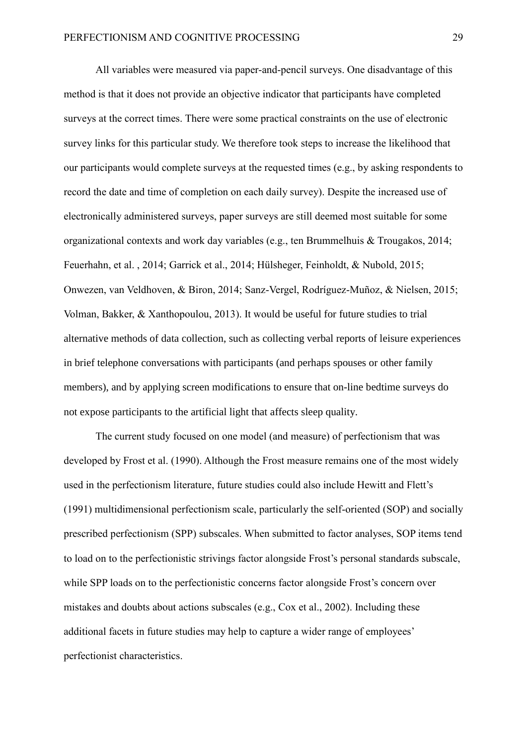All variables were measured via paper-and-pencil surveys. One disadvantage of this method is that it does not provide an objective indicator that participants have completed surveys at the correct times. There were some practical constraints on the use of electronic survey links for this particular study. We therefore took steps to increase the likelihood that our participants would complete surveys at the requested times (e.g., by asking respondents to record the date and time of completion on each daily survey). Despite the increased use of electronically administered surveys, paper surveys are still deemed most suitable for some organizational contexts and work day variables (e.g., ten Brummelhuis & Trougakos, 2014; Feuerhahn, et al. , 2014; Garrick et al., 2014; Hülsheger, Feinholdt, & Nubold, 2015; Onwezen, van Veldhoven, & Biron, 2014; Sanz-Vergel, Rodríguez-Muñoz, & Nielsen, 2015; Volman, Bakker, & Xanthopoulou, 2013). It would be useful for future studies to trial alternative methods of data collection, such as collecting verbal reports of leisure experiences in brief telephone conversations with participants (and perhaps spouses or other family members), and by applying screen modifications to ensure that on-line bedtime surveys do not expose participants to the artificial light that affects sleep quality.

The current study focused on one model (and measure) of perfectionism that was developed by Frost et al. (1990). Although the Frost measure remains one of the most widely used in the perfectionism literature, future studies could also include Hewitt and Flett's (1991) multidimensional perfectionism scale, particularly the self-oriented (SOP) and socially prescribed perfectionism (SPP) subscales. When submitted to factor analyses, SOP items tend to load on to the perfectionistic strivings factor alongside Frost's personal standards subscale, while SPP loads on to the perfectionistic concerns factor alongside Frost's concern over mistakes and doubts about actions subscales (e.g., Cox et al., 2002). Including these additional facets in future studies may help to capture a wider range of employees' perfectionist characteristics.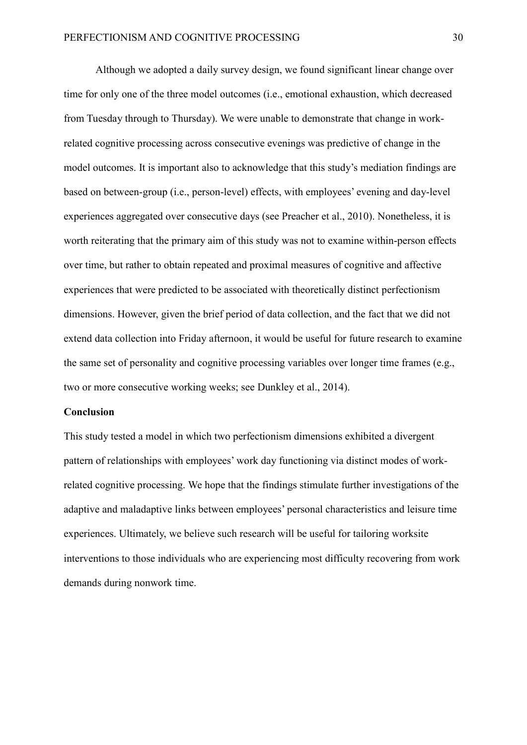Although we adopted a daily survey design, we found significant linear change over time for only one of the three model outcomes (i.e., emotional exhaustion, which decreased from Tuesday through to Thursday). We were unable to demonstrate that change in workrelated cognitive processing across consecutive evenings was predictive of change in the model outcomes. It is important also to acknowledge that this study's mediation findings are based on between-group (i.e., person-level) effects, with employees' evening and day-level experiences aggregated over consecutive days (see Preacher et al., 2010). Nonetheless, it is worth reiterating that the primary aim of this study was not to examine within-person effects over time, but rather to obtain repeated and proximal measures of cognitive and affective experiences that were predicted to be associated with theoretically distinct perfectionism dimensions. However, given the brief period of data collection, and the fact that we did not extend data collection into Friday afternoon, it would be useful for future research to examine the same set of personality and cognitive processing variables over longer time frames (e.g., two or more consecutive working weeks; see Dunkley et al., 2014).

#### **Conclusion**

This study tested a model in which two perfectionism dimensions exhibited a divergent pattern of relationships with employees' work day functioning via distinct modes of workrelated cognitive processing. We hope that the findings stimulate further investigations of the adaptive and maladaptive links between employees' personal characteristics and leisure time experiences. Ultimately, we believe such research will be useful for tailoring worksite interventions to those individuals who are experiencing most difficulty recovering from work demands during nonwork time.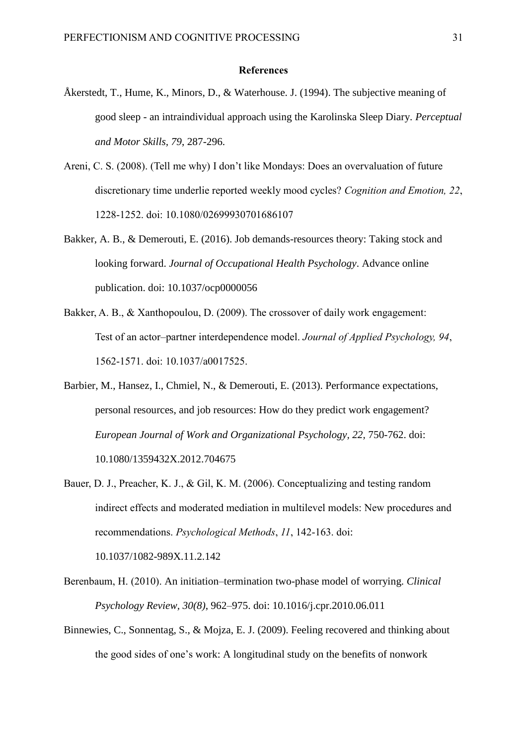#### **References**

- Åkerstedt, T., Hume, K., Minors, D., & Waterhouse. J. (1994). The subjective meaning of good sleep - an intraindividual approach using the Karolinska Sleep Diary. *Perceptual and Motor Skills, 79*, 287-296.
- Areni, C. S. (2008). (Tell me why) I don't like Mondays: Does an overvaluation of future discretionary time underlie reported weekly mood cycles? *Cognition and Emotion, 22*, 1228-1252. doi: [10.1080/02699930701686107](http://philpapers.org/go.pl?id=ARETMW&proxyId=&u=http%3A%2F%2Fdx.doi.org%2F10.1080%2F02699930701686107)
- Bakker, A. B., & Demerouti, E. (2016). Job demands-resources theory: Taking stock and looking forward. *Journal of Occupational Health Psychology*. Advance online publication. doi: 10.1037/ocp0000056
- Bakker, A. B., & Xanthopoulou, D. (2009). The crossover of daily work engagement: Test of an actor–partner interdependence model. *Journal of Applied Psychology, 94*, 1562-1571. doi: 10.1037/a0017525.
- Barbier, M., Hansez, I., Chmiel, N., & Demerouti, E. (2013). Performance expectations, personal resources, and job resources: How do they predict work engagement? *European Journal of Work and Organizational Psychology, 22, 750-762. doi:* 10.1080/1359432X.2012.704675
- Bauer, D. J., Preacher, K. J., & Gil, K. M. (2006). Conceptualizing and testing random indirect effects and moderated mediation in multilevel models: New procedures and recommendations. *Psychological Methods*, *11*, 142-163. doi: [10.1037/1082-989X.11.2.142](https://doi.org/10.1037/1082-989X.11.2.142)
- Berenbaum, H. (2010). An initiation–termination two-phase model of worrying. *[Clinical](http://www.sciencedirect.com/science/journal/02727358)  [Psychology Review,](http://www.sciencedirect.com/science/journal/02727358) 30(8)*, 962–975. doi: [10.1016/j.cpr.2010.06.011](https://dx.doi.org/10.1016/j.cpr.2010.06.011)
- Binnewies, C., Sonnentag, S., & Mojza, E. J. (2009). Feeling recovered and thinking about the good sides of one's work: A longitudinal study on the benefits of nonwork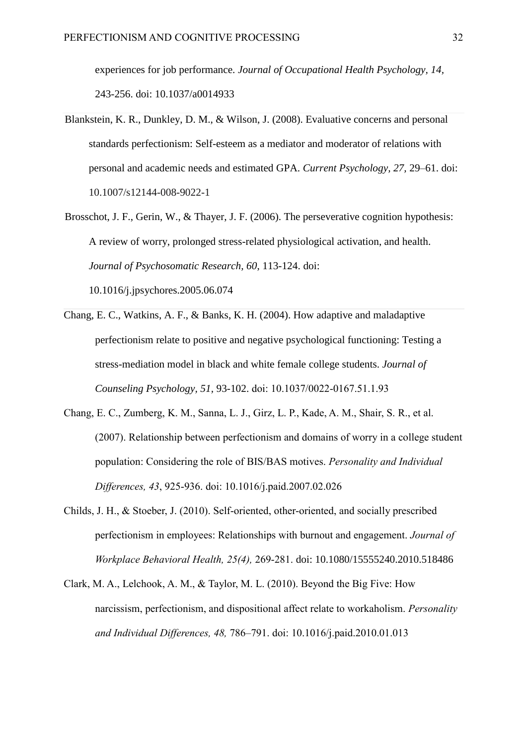experiences for job performance. *Journal of Occupational Health Psychology, 14,*  243-256. doi: 10.1037/a0014933

- Blankstein, K. R., Dunkley, D. M., & Wilson, J. (2008). Evaluative concerns and personal standards perfectionism: Self-esteem as a mediator and moderator of relations with personal and academic needs and estimated GPA. *Current Psychology, 27,* 29–61. doi: 10.1007/s12144-008-9022-1
- Brosschot, J. F., Gerin, W., & Thayer, J. F. (2006). The perseverative cognition hypothesis: A review of worry, prolonged stress-related physiological activation, and health. *Journal of Psychosomatic Research, 60*, 113-124. doi: [10.1016/j.jpsychores.2005.06.074](https://dx.doi.org/10.1016/j.jpsychores.2005.06.074)
- Chang, E. C., Watkins, A. F., & Banks, K. H. (2004). How adaptive and maladaptive perfectionism relate to positive and negative psychological functioning: Testing a stress-mediation model in black and white female college students. *Journal of Counseling Psychology, 51,* 93-102. [doi: 10.1037/0022-0167.51.1.93](http://psycnet.apa.org/doi/10.1037/0022-0167.51.1.93)
- Chang, E. C., Zumberg, K. M., Sanna, L. J., Girz, L. P., Kade, A. M., Shair, S. R., et al. (2007). Relationship between perfectionism and domains of worry in a college student population: Considering the role of BIS/BAS motives. *Personality and Individual Differences, 43*, 925-936. [doi: 10.1016/j.paid.2007.02.026](http://dx.doi.org/10.1016/j.paid.2007.02.026)
- Childs, J. H., & Stoeber, J. (2010). [Self-oriented, other-oriented, and socially prescribed](http://kar.kent.ac.uk/25291/)  [perfectionism in employees: Relationships with burnout and engagement.](http://kar.kent.ac.uk/25291/) *Journal of Workplace Behavioral Health, 25(4),* 269-281. doi: 10.1080/15555240.2010.518486
- Clark, M. A., Lelchook, A. M., & Taylor, M. L. (2010). Beyond the Big Five: How narcissism, perfectionism, and dispositional affect relate to workaholism. *Personality and Individual Differences, 48,* 786–791. [doi: 10.1016/j.paid.2010.01.013](https://doi.org/10.1016/j.paid.2010.01.013)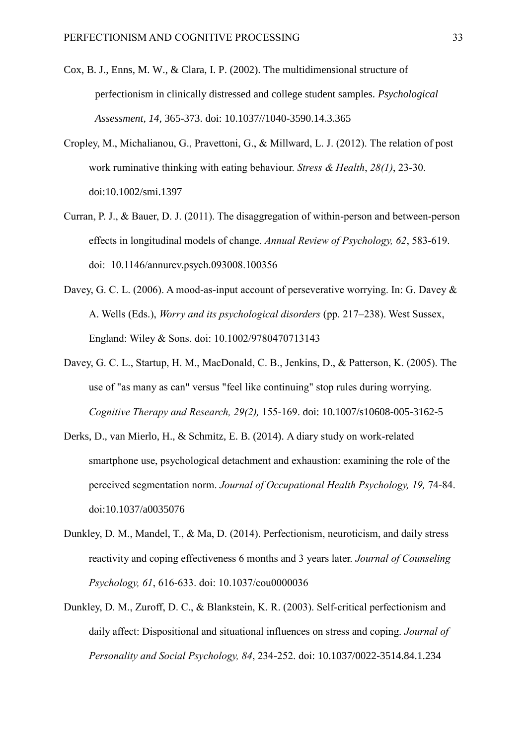- Cox, B. J., Enns, M. W., & Clara, I. P. (2002). The multidimensional structure of perfectionism in clinically distressed and college student samples. *Psychological Assessment, 14,* 365-373. doi: 10.1037//1040-3590.14.3.365
- Cropley, M., Michalianou, G., Pravettoni, G., & Millward, L. J. (2012). The relation of post work ruminative thinking with eating behaviour. *Stress & Health*, *28(1)*, 23-30. doi[:10.1002/smi.1397](https://dx.doi.org/10.1002/smi.1397)
- Curran, P. J., & Bauer, D. J. (2011). The disaggregation of within-person and between-person effects in longitudinal models of change. *Annual Review of Psychology, 62*, 583-619. doi: [10.1146/annurev.psych.093008.100356](https://dx.doi.org/10.1146%2Fannurev.psych.093008.100356)
- Davey, G. C. L. (2006). A mood-as-input account of perseverative worrying. In: G. Davey & A. Wells (Eds.), *Worry and its psychological disorders* (pp. 217–238). West Sussex, England: Wiley & Sons. doi: 10.1002/9780470713143
- Davey, G. C. L., Startup, H. M., MacDonald, C. B., Jenkins, D., & Patterson, K. (2005). [The](http://sro.sussex.ac.uk/660/)  [use of "as many as can" versus "feel like continuing" stop rules during worrying.](http://sro.sussex.ac.uk/660/) *Cognitive Therapy and Research, 29(2),* 155-169. doi: 10.1007/s10608-005-3162-5
- Derks, D., van Mierlo, H., & Schmitz, E. B. (2014). A diary study on work-related smartphone use, psychological detachment and exhaustion: examining the role of the perceived segmentation norm. *Journal of Occupational Health Psychology, 19,* 74-84. doi[:10.1037/a0035076](https://doi.org/10.1037/a0035076)
- Dunkley, D. M., Mandel, T., & Ma, D. (2014). Perfectionism, neuroticism, and daily stress reactivity and coping effectiveness 6 months and 3 years later. *Journal of Counseling Psychology, 61*, 616-633. doi: 10.1037/cou0000036
- Dunkley, D. M., Zuroff, D. C., & Blankstein, K. R. (2003). Self-critical perfectionism and daily affect: Dispositional and situational influences on stress and coping. *Journal of Personality and Social Psychology, 84*, 234-252. doi: 10.1037/0022-3514.84.1.234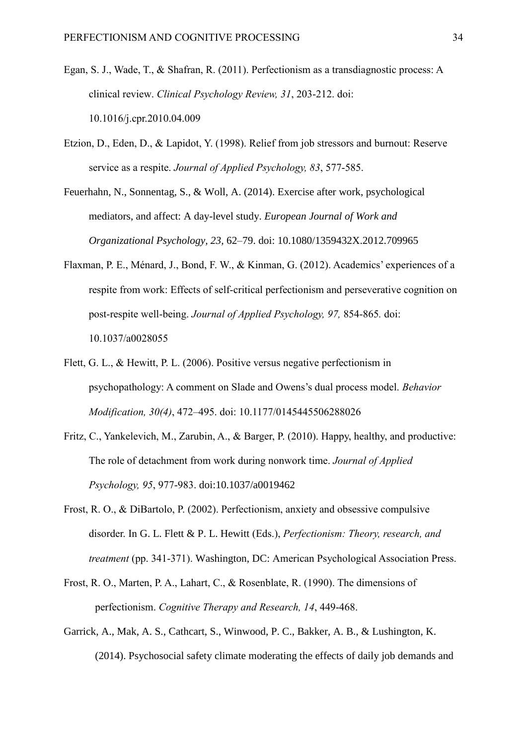- Egan, S. J., Wade, T., & Shafran, R. (2011). [Perfectionism as a transdiagnostic process: A](http://espace.library.curtin.edu.au/R?func=dbin-jump-full&local_base=gen01-era02&object_id=202220)  [clinical review.](http://espace.library.curtin.edu.au/R?func=dbin-jump-full&local_base=gen01-era02&object_id=202220) *Clinical Psychology Review, 31*, 203-212. doi: 10.1016/j.cpr.2010.04.009
- Etzion, D., Eden, D., & Lapidot, Y. (1998). Relief from job stressors and burnout: Reserve service as a respite. *Journal of Applied Psychology, 83*, 577-585.
- Feuerhahn, N., Sonnentag, S., & Woll, A. (2014). Exercise after work, psychological mediators, and affect: A day-level study. *European Journal of Work and Organizational Psychology, 23,* 62–79. doi: 10.1080/1359432X.2012.709965
- Flaxman, P. E., Ménard, J., Bond, F. W., & Kinman, G. (2012). Academics' experiences of a respite from work: Effects of self-critical perfectionism and perseverative cognition on post-respite well-being. *Journal of Applied Psychology, 97,* 854-865*.* doi: 10.1037/a0028055
- Flett, G. L., & Hewitt, P. L. (2006). Positive versus negative perfectionism in psychopathology: A comment on Slade and Owens's dual process model. *Behavior Modification, 30(4)*, 472–495. doi: 10.1177/0145445506288026
- Fritz, C., Yankelevich, M., Zarubin, A., & Barger, P. (2010). Happy, healthy, and productive: The role of detachment from work during nonwork time. *Journal of Applied Psychology, 95*, 977-983. doi[:10.1037/a0019462](https://dx.doi.org/10.1037/a0019462)
- Frost, R. O., & DiBartolo, P. (2002). Perfectionism, anxiety and obsessive compulsive disorder. In G. L. Flett & P. L. Hewitt (Eds.), *Perfectionism: Theory, research, and treatment* (pp. 341-371). Washington, DC: American Psychological Association Press.
- Frost, R. O., Marten, P. A., Lahart, C., & Rosenblate, R. (1990). The dimensions of perfectionism. *Cognitive Therapy and Research, 14*, 449-468.
- Garrick, A., Mak, A. S., Cathcart, S., Winwood, P. C., Bakker, A. B., & Lushington, K. (2014). Psychosocial safety climate moderating the effects of daily job demands and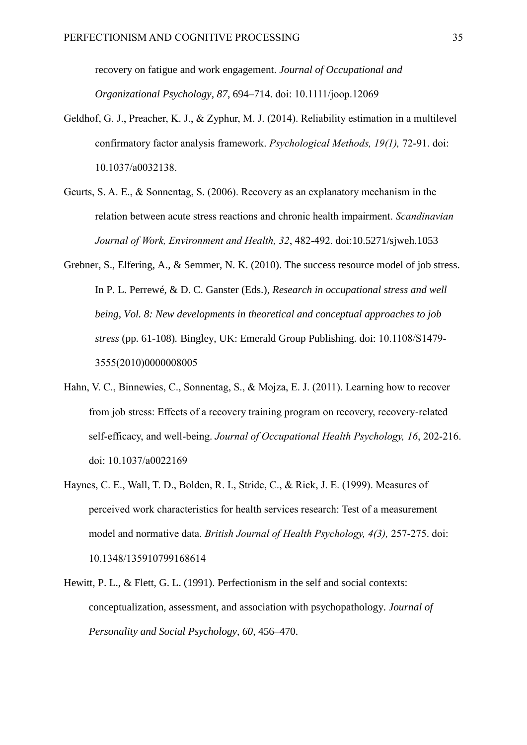recovery on fatigue and work engagement. *Journal of Occupational and Organizational Psychology, 87*, 694–714. doi: 10.1111/joop.12069

- Geldhof, G. J., Preacher, K. J., & Zyphur, M. J. (2014). Reliability estimation in a multilevel confirmatory factor analysis framework. *Psychological Methods, 19(1),* 72-91. doi: 10.1037/a0032138.
- Geurts, S. A. E., & Sonnentag, S. (2006). Recovery as an explanatory mechanism in the relation between acute stress reactions and chronic health impairment. *Scandinavian Journal of Work, Environment and Health, 32*, 482-492. doi:10.5271/sjweh.1053
- Grebner, S., Elfering, A., & Semmer, N. K. (2010). The success resource model of job stress. In P. L. Perrewé, & D. C. Ganster (Eds.), *Research in occupational stress and well being, Vol. 8: New developments in theoretical and conceptual approaches to job stress* (pp. 61-108)*.* Bingley, UK: Emerald Group Publishing. doi: [10.1108/S1479-](http://dx.doi.org/10.1108/S1479-3555(2010)0000008005) [3555\(2010\)0000008005](http://dx.doi.org/10.1108/S1479-3555(2010)0000008005)
- Hahn, V. C., Binnewies, C., Sonnentag, S., & Mojza, E. J. (2011). Learning how to recover from job stress: Effects of a recovery training program on recovery, recovery-related self-efficacy, and well-being. *Journal of Occupational Health Psychology, 16*, 202-216. doi: 10.1037/a0022169
- Haynes, C. E., Wall, T. D., Bolden, R. I., Stride, C., & Rick, J. E. (1999). Measures of perceived work characteristics for health services research: Test of a measurement model and normative data. *British Journal of Health Psychology, 4(3),* 257-275. doi: 10.1348/135910799168614
- Hewitt, P. L., & Flett, G. L. (1991). Perfectionism in the self and social contexts: conceptualization, assessment, and association with psychopathology. *Journal of Personality and Social Psychology, 60,* 456–470.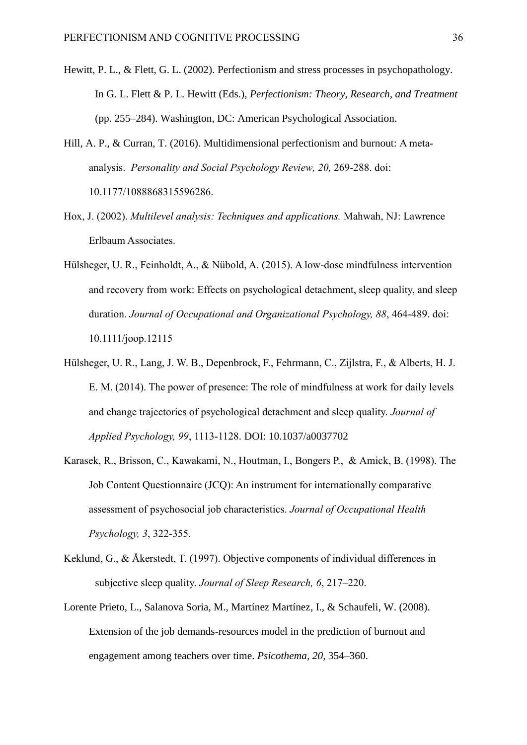- Hewitt, P. L., & Flett, G. L. (2002). Perfectionism and stress processes in psychopathology. In G. L. Flett & P. L. Hewitt (Eds.), *Perfectionism: Theory, Research, and Treatment* (pp. 255–284). Washington, DC: American Psychological Association.
- Hill, A. P., & Curran, T. (2016). Multidimensional perfectionism and burnout: A metaanalysis. *Personality and Social Psychology Review, 20,* 269-288. doi: 10.1177/1088868315596286.
- Hox, J. (2002). *Multilevel analysis: Techniques and applications.* Mahwah, NJ: Lawrence Erlbaum Associates.
- Hülsheger, U. R., Feinholdt, A., & Nübold, A. (2015). A low-dose mindfulness intervention and recovery from work: Effects on psychological detachment, sleep quality, and sleep duration. *Journal of Occupational and Organizational Psychology, 88*, 464-489. doi: 10.1111/joop.12115
- Hülsheger, U. R., Lang, J. W. B., Depenbrock, F., Fehrmann, C., Zijlstra, F., & Alberts, H. J. E. M. (2014). The power of presence: The role of mindfulness at work for daily levels and change trajectories of psychological detachment and sleep quality. *Journal of Applied Psychology, 99*, 1113-1128. DOI: [10.1037/a0037702](https://dx.doi.org/10.1037/a0037702)
- [Karasek,](http://www.ncbi.nlm.nih.gov/entrez/query.fcgi?cmd=Retrieve&db=pubmed&dopt=Abstract&list_uids=9805280) [R., Brisson,](http://www.ncbi.nlm.nih.gov/entrez/query.fcgi?cmd=Retrieve&db=pubmed&dopt=Abstract&list_uids=9805280) [C., Kawakami, N., Houtman,](http://www.ncbi.nlm.nih.gov/entrez/query.fcgi?cmd=Retrieve&db=pubmed&dopt=Abstract&list_uids=9805280) [I., Bongers](http://www.ncbi.nlm.nih.gov/entrez/query.fcgi?cmd=Retrieve&db=pubmed&dopt=Abstract&list_uids=9805280) [P.,](http://www.ncbi.nlm.nih.gov/entrez/query.fcgi?cmd=Retrieve&db=pubmed&dopt=Abstract&list_uids=9805280) & [Amick,](http://www.ncbi.nlm.nih.gov/entrez/query.fcgi?cmd=Retrieve&db=pubmed&dopt=Abstract&list_uids=9805280) [B. \(1998\).](http://www.ncbi.nlm.nih.gov/entrez/query.fcgi?cmd=Retrieve&db=pubmed&dopt=Abstract&list_uids=9805280) The Job Content Questionnaire (JCQ): An instrument for internationally comparative assessment of psychosocial job characteristics. *Journal of Occupational Health Psychology, 3*, 322-355.
- Keklund, G., & Åkerstedt, T. (1997). Objective components of individual differences in subjective sleep quality. *Journal of Sleep Research, 6*, 217–220.
- Lorente Prieto, L., Salanova Soria, M., Martínez Martínez, I., & Schaufeli, W. (2008). Extension of the job demands-resources model in the prediction of burnout and engagement among teachers over time. *Psicothema, 20,* 354–360.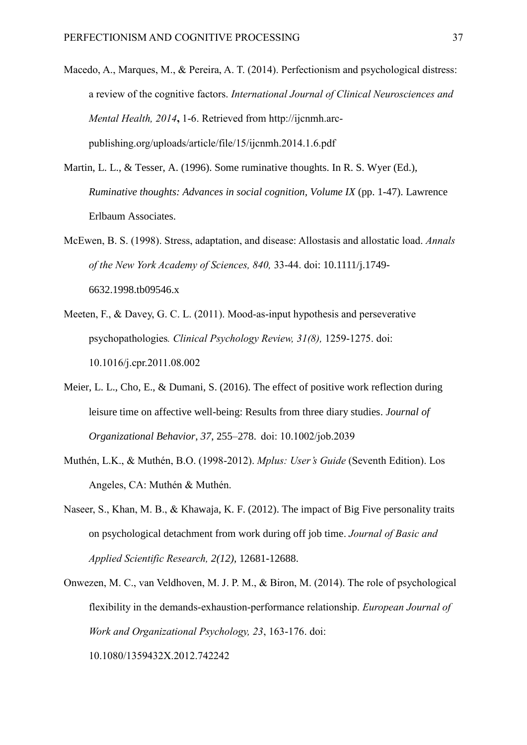- Macedo, A., Marques, M., & Pereira, A. T. (2014). Perfectionism and psychological distress: a review of the cognitive factors. *International Journal of Clinical Neurosciences and Mental Health, 2014***,** 1-6. Retrieved from http://ijcnmh.arcpublishing.org/uploads/article/file/15/ijcnmh.2014.1.6.pdf
- Martin, L. L., & Tesser, A. (1996). Some ruminative thoughts. In R. S. Wyer (Ed.), *Ruminative thoughts: Advances in social cognition, Volume IX (pp. 1-47). Lawrence* Erlbaum Associates.
- McEwen, B. S. (1998). Stress, adaptation, and disease: Allostasis and allostatic load. *Annals of the New York Academy of Sciences, 840,* 33-44. doi: 10.1111/j.1749- 6632.1998.tb09546.x
- Meeten, F., & Davey, G. C. L. (2011). [Mood-as-input hypothesis and perseverative](http://sro.sussex.ac.uk/14158/)  [psychopathologies](http://sro.sussex.ac.uk/14158/)*. Clinical Psychology Review, 31(8),* 1259-1275. doi: 10.1016/j.cpr.2011.08.002
- Meier, L. L., Cho, E., & Dumani, S. (2016). The effect of positive work reflection during leisure time on affective well-being: Results from three diary studies. *Journal of Organizational Behavior*, *37*, 255–278. doi: 10.1002/job.2039
- Muthén, L.K., & Muthén, B.O. (1998-2012). *Mplus: User's Guide* (Seventh Edition). Los Angeles, CA: Muthén & Muthén.
- Naseer, S., Khan, M. B., & Khawaja, K. F. (2012). The impact of Big Five personality traits on psychological detachment from work during off job time. *Journal of Basic and Applied Scientific Research, 2(12),* 12681-12688.
- Onwezen, M. C., van Veldhoven, M. J. P. M., & Biron, M. (2014). The role of psychological flexibility in the demands-exhaustion-performance relationship. *European Journal of Work and Organizational Psychology, 23*, 163-176. doi: [10.1080/1359432X.2012.742242](http://dx.doi.org/10.1080/1359432X.2012.742242)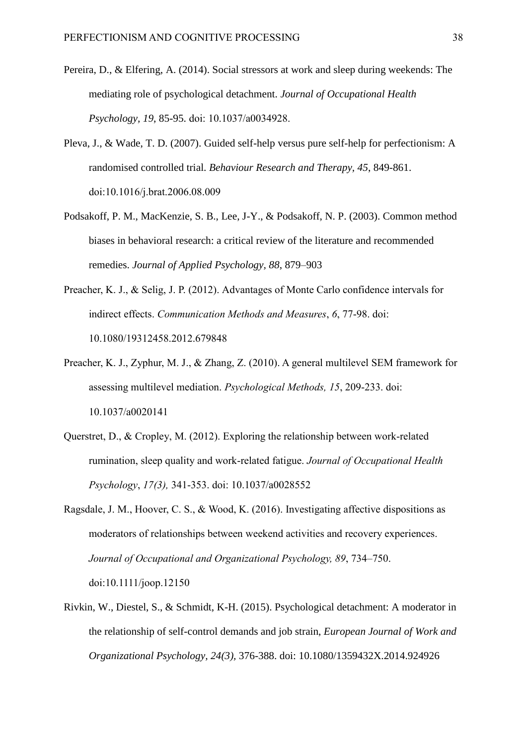- Pereira, D., & Elfering, A. (2014). Social stressors at work and sleep during weekends: The mediating role of psychological detachment. *Journal of Occupational Health Psychology, 19*, 85-95. doi: 10.1037/a0034928.
- Pleva, J., & Wade, T. D. (2007). Guided self-help versus pure self-help for perfectionism: A randomised controlled trial. *Behaviour Research and Therapy, 45*, 849-861. [doi:10.1016/j.brat.2006.08.009](http://dx.doi.org/10.1016/j.brat.2006.08.009)
- Podsakoff, P. M., MacKenzie, S. B., Lee, J-Y., & Podsakoff, N. P. (2003). Common method biases in behavioral research: a critical review of the literature and recommended remedies. *Journal of Applied Psychology, 88*, 879–903
- Preacher, K. J., & Selig, J. P. (2012). [Advantages of Monte Carlo confidence intervals for](http://quantpsy.org/pubs/preacher_selig_2012.pdf)  [indirect effects.](http://quantpsy.org/pubs/preacher_selig_2012.pdf) *Communication Methods and Measures*, *6*, 77-98. doi: 10.1080/19312458.2012.679848
- Preacher, K. J., Zyphur, M. J., & Zhang, Z. (2010). A general multilevel SEM framework for assessing multilevel mediation. *Psychological Methods, 15*, 209-233. doi: 10.1037/a0020141
- Querstret, D., & Cropley, M. (2012). Exploring the relationship between work-related rumination, sleep quality and work-related fatigue. *Journal of Occupational Health Psychology*, *17(3),* 341-353. doi: 10.1037/a0028552
- Ragsdale, J. M., Hoover, C. S., & Wood, K. (2016). Investigating affective dispositions as moderators of relationships between weekend activities and recovery experiences. *Journal of Occupational and Organizational Psychology, 89*, 734–750. doi:10.1111/joop.12150
- Rivkin, W., Diestel, S., & Schmidt, K-H. (2015). Psychological detachment: A moderator in the relationship of self-control demands and job strain, *European Journal of Work and Organizational Psychology, 24(3),* 376-388. doi: 10.1080/1359432X.2014.924926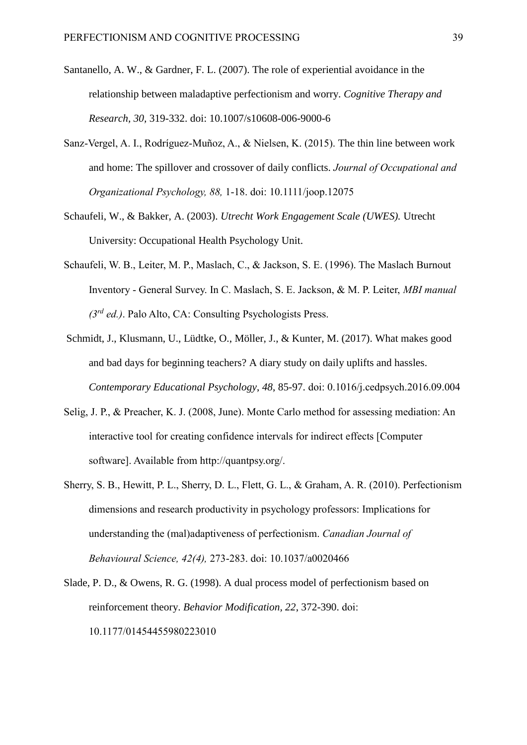- Santanello, A. W., & Gardner, F. L. (2007). The role of experiential avoidance in the relationship between maladaptive perfectionism and worry. *Cognitive Therapy and Research, 30,* 319-332. doi: 10.1007/s10608-006-9000-6
- Sanz-Vergel, A. I., Rodríguez-Muñoz, A., & Nielsen, K. (2015). The thin line between work and home: The spillover and crossover of daily conflicts. *Journal of Occupational and Organizational Psychology, 88,* 1-18. doi: 10.1111/joop.12075
- Schaufeli, W., & Bakker, A. (2003). *Utrecht Work Engagement Scale (UWES).* Utrecht University: Occupational Health Psychology Unit.
- Schaufeli, W. B., Leiter, M. P., Maslach, C., & Jackson, S. E. (1996). The Maslach Burnout Inventory - General Survey. In C. Maslach, S. E. Jackson, & M. P. Leiter, *MBI manual (3rd ed.)*. Palo Alto, CA: Consulting Psychologists Press.
- Schmidt, J., Klusmann, U., Lüdtke, O., Möller, J., & Kunter, M. (2017). What makes good and bad days for beginning teachers? A diary study on daily uplifts and hassles. *Contemporary Educational Psychology*, *48*, 85-97. [doi: 0.1016/j.cedpsych.2016.09.004](https://doi.org/10.1016/j.cedpsych.2016.09.004)
- Selig, J. P., & Preacher, K. J. (2008, June). Monte Carlo method for assessing mediation: An interactive tool for creating confidence intervals for indirect effects [Computer software]. Available from http://quantpsy.org/.
- Sherry, S. B., Hewitt, P. L., Sherry, D. L., Flett, G. L., & Graham, A. R. (2010). Perfectionism dimensions and research productivity in psychology professors: Implications for understanding the (mal)adaptiveness of perfectionism. *Canadian Journal of Behavioural Science, 42(4),* 273-283. [doi: 10.1037/a0020466](http://dx.doi.org/10.1037/a0020466)
- Slade, P. D., & Owens, R. G. (1998). A dual process model of perfectionism based on reinforcement theory. *Behavior Modification, 22*, 372-390. doi: 10.1177/01454455980223010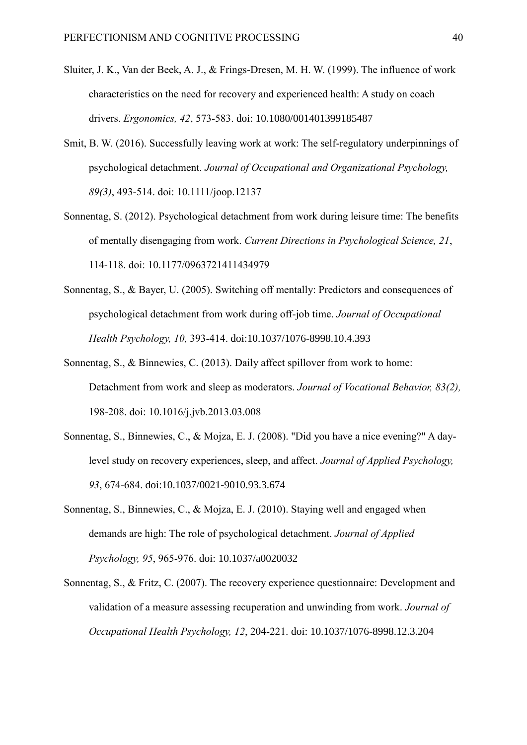- Sluiter, J. K., Van der Beek, A. J., & Frings-Dresen, M. H. W. (1999). The influence of work characteristics on the need for recovery and experienced health: A study on coach drivers. *Ergonomics, 42*, 573-583. doi: [10.1080/001401399185487](https://dx.doi.org/10.1080/001401399185487)
- Smit, B. W. (2016). Successfully leaving work at work: The self-regulatory underpinnings of psychological detachment. *Journal of Occupational and Organizational Psychology, 89(3)*, 493-514. doi: 10.1111/joop.12137
- Sonnentag, S. (2012). Psychological detachment from work during leisure time: The benefits of mentally disengaging from work. *Current Directions in Psychological Science, 21*, 114-118. doi: 10.1177/0963721411434979
- Sonnentag, S., & Bayer, U. (2005). Switching off mentally: Predictors and consequences of psychological detachment from work during off-job time. *Journal of Occupational Health Psychology, 10,* 393-414. doi[:10.1037/1076-8998.10.4.393](https://dx.doi.org/10.1037/1076-8998.10.4.393)
- Sonnentag, S., & Binnewies, C. (2013). Daily affect spillover from work to home: Detachment from work and sleep as moderators. *Journal of Vocational Behavior, 83(2),*  198-208. doi: 10.1016/j.jvb.2013.03.008
- Sonnentag, S., Binnewies, C., & Mojza, E. J. (2008). "Did you have a nice evening?" A daylevel study on recovery experiences, sleep, and affect. *Journal of Applied Psychology, 93*, 674-684. doi[:10.1037/0021-9010.93.3.674](https://dx.doi.org/10.1037/0021-9010.93.3.674)
- Sonnentag, S., Binnewies, C., & Mojza, E. J. (2010). Staying well and engaged when demands are high: The role of psychological detachment. *Journal of Applied Psychology, 95*, 965-976. doi: [10.1037/a0020032](https://dx.doi.org/10.1037/a0020032)
- Sonnentag, S., & Fritz, C. (2007). The recovery experience questionnaire: Development and validation of a measure assessing recuperation and unwinding from work. *Journal of Occupational Health Psychology, 12*, 204-221. doi: [10.1037/1076-8998.12.3.204](https://dx.doi.org/10.1037/1076-8998.12.3.204)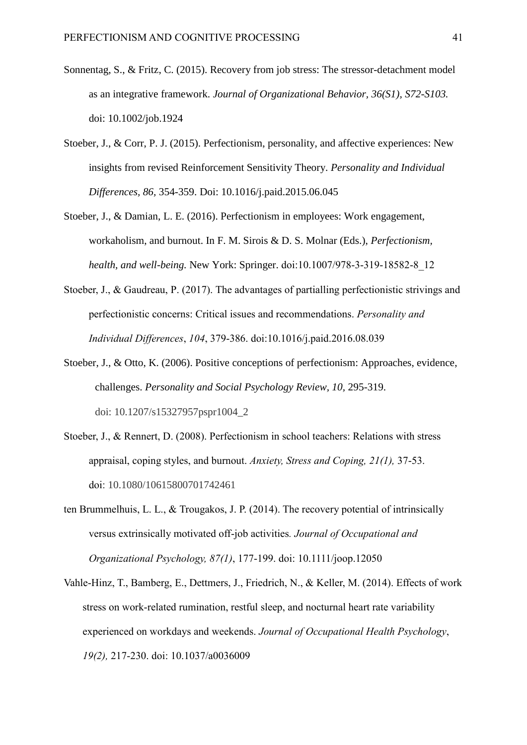- Sonnentag, S., & Fritz, C. (2015). Recovery from job stress: The stressor-detachment model as an integrative framework. *Journal of Organizational Behavior, 36(S1), S72-S103.*  doi: 10.1002/job.1924
- Stoeber, J., & Corr, P. J. (2015). Perfectionism, personality, and affective experiences: New insights from revised Reinforcement Sensitivity Theory. *Personality and Individual Differences, 86,* 354-359. Doi: [10.1016/j.paid.2015.06.045](https://doi.org/10.1016/j.paid.2015.06.045)
- Stoeber, J., & Damian, L. E. (2016). Perfectionism in employees: Work engagement, workaholism, and burnout. In F. M. Sirois & D. S. Molnar (Eds.), *Perfectionism, health, and well-being.* New York: Springer. doi[:10.1007/978-3-319-18582-8\\_12](http://doi.org/10.1007/978-3-319-18582-8_12)
- Stoeber, J., & Gaudreau, P. (2017). The advantages of partialling perfectionistic strivings and perfectionistic concerns: Critical issues and recommendations. *Personality and Individual Differences*, *104*, 379-386. doi:10.1016/j.paid.2016.08.039
- Stoeber, J., & Otto, K. (2006). Positive conceptions of perfectionism: Approaches, evidence, challenges. *Personality and Social Psychology Review, 10,* 295-319. doi: 10.1207/s15327957pspr1004\_2
- Stoeber, J., & Rennert, D. (2008). [Perfectionism in school teachers: Relations with stress](http://kar.kent.ac.uk/4486/)  [appraisal, coping styles, and burnout.](http://kar.kent.ac.uk/4486/) *Anxiety, Stress and Coping, 21(1),* 37-53. doi: 10.1080/10615800701742461
- ten Brummelhuis, L. L., & Trougakos, J. P. (2014). The recovery potential of intrinsically versus extrinsically motivated off-job activities*. Journal of Occupational and Organizational Psychology, 87(1)*, 177-199. doi: 10.1111/joop.12050
- Vahle-Hinz, T., Bamberg, E., Dettmers, J., Friedrich, N., & Keller, M. (2014). Effects of work stress on work-related rumination, restful sleep, and nocturnal heart rate variability experienced on workdays and weekends. *Journal of Occupational Health Psychology*, *19(2),* 217-230. doi: 10.1037/a0036009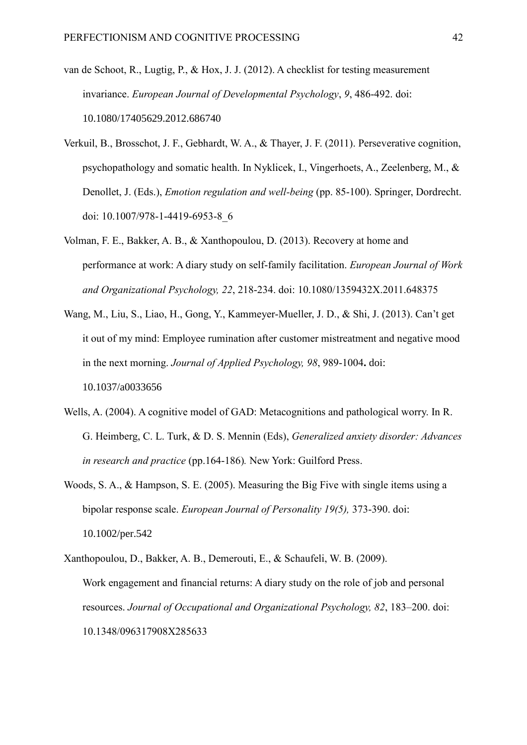- van de Schoot, R., Lugtig, P., & Hox, J. J. (2012). A checklist for testing measurement invariance. *European Journal of Developmental Psychology*, *9*, 486-492. doi: 10.1080/17405629.2012.686740
- Verkuil, B., Brosschot, J. F., Gebhardt, W. A., & Thayer, J. F. (2011). Perseverative cognition, psychopathology and somatic health. In Nyklicek, I., Vingerhoets, A., Zeelenberg, M., & Denollet, J. (Eds.), *Emotion regulation and well-being* (pp. 85-100). Springer, Dordrecht. doi: 10.1007/978-1-4419-6953-8\_6
- Volman, F. E., Bakker, A. B., & Xanthopoulou, D. (2013). Recovery at home and performance at work: A diary study on self-family facilitation. *European Journal of Work and Organizational Psychology, 22*, 218-234. doi: [10.1080/1359432X.2011.648375](http://dx.doi.org/10.1080/1359432X.2011.648375)
- Wang, M., Liu, S., Liao, H., Gong, Y., Kammeyer-Mueller, J. D., & Shi, J. (2013). Can't get it out of my mind: Employee rumination after customer mistreatment and negative mood in the next morning. *Journal of Applied Psychology, 98*, 989-1004**.** doi: [10.1037/a0033656](https://dx.doi.org/10.1037/a0033656)
- Wells, A. (2004). A cognitive model of GAD: Metacognitions and pathological worry. In [R.](http://www.amazon.co.uk/s/ref=dp_byline_sr_book_1?ie=UTF8&field-author=Richard+G.+Heimberg&search-alias=books-uk&text=Richard+G.+Heimberg&sort=relevancerank)  [G. Heimberg,](http://www.amazon.co.uk/s/ref=dp_byline_sr_book_1?ie=UTF8&field-author=Richard+G.+Heimberg&search-alias=books-uk&text=Richard+G.+Heimberg&sort=relevancerank) [C. L. Turk,](http://www.amazon.co.uk/s/ref=dp_byline_sr_book_2?ie=UTF8&field-author=Cynthia+L.+Turk&search-alias=books-uk&text=Cynthia+L.+Turk&sort=relevancerank) & [D. S. Mennin](http://www.amazon.co.uk/s/ref=dp_byline_sr_book_3?ie=UTF8&field-author=Douglas+S.+Mennin&search-alias=books-uk&text=Douglas+S.+Mennin&sort=relevancerank) (Eds), *Generalized anxiety disorder: Advances in research and practice* (pp.164-186)*.* New York: Guilford Press.
- Woods, S. A., & Hampson, S. E. (2005). Measuring the Big Five with single items using a bipolar response scale. *European Journal of Personality 19(5),* 373-390. doi: 10.1002/per.542
- Xanthopoulou, D., Bakker, A. B., Demerouti, E., & Schaufeli, W. B. (2009). Work engagement and financial returns: A diary study on the role of job and personal resources. *Journal of Occupational and Organizational Psychology, 82*, 183–200. doi: 10.1348/096317908X285633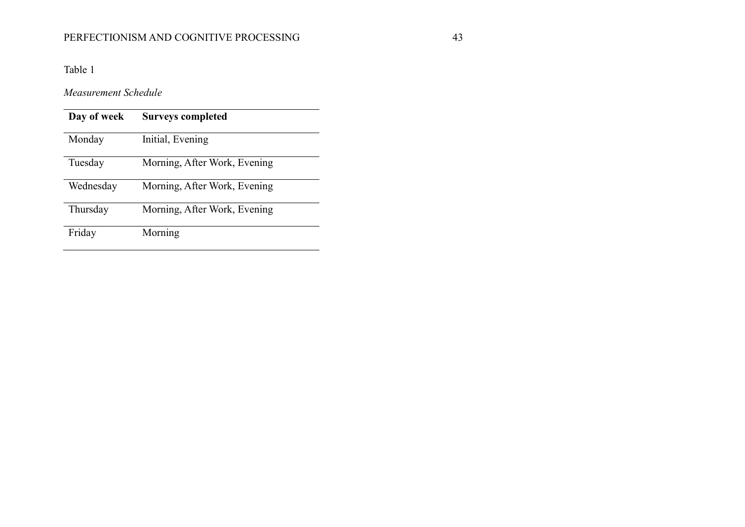# PERFECTIONISM AND COGNITIVE PROCESSING 43

Table 1

*Measurement Schedule*

| Day of week | <b>Surveys completed</b>     |
|-------------|------------------------------|
| Monday      | Initial, Evening             |
| Tuesday     | Morning, After Work, Evening |
| Wednesday   | Morning, After Work, Evening |
| Thursday    | Morning, After Work, Evening |
| Friday      | Morning                      |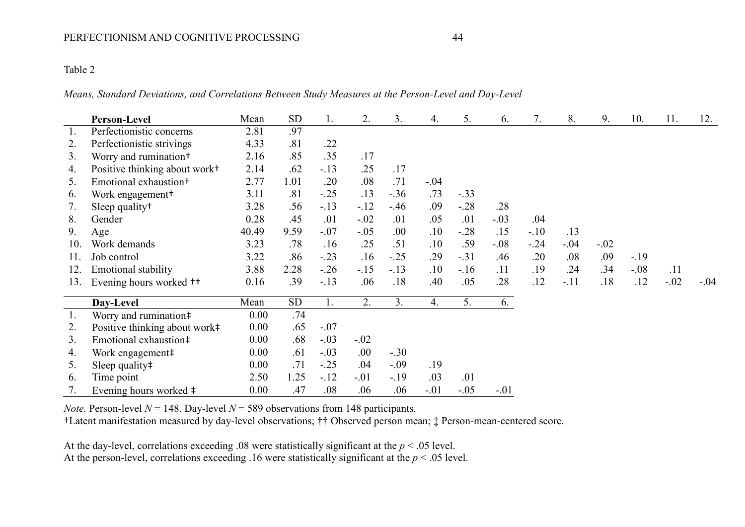# Table 2

*Means, Standard Deviations, and Correlations Between Study Measures at the Person-Level and Day-Level*

|     | <b>Person-Level</b>                       | Mean  | <b>SD</b> | 1.     | 2.     | 3.     | $\overline{4}$ . | 5.     | 6.     | 7.      | 8.     | 9.     | 10.    | 11.    | 12.    |
|-----|-------------------------------------------|-------|-----------|--------|--------|--------|------------------|--------|--------|---------|--------|--------|--------|--------|--------|
| 1.  | Perfectionistic concerns                  | 2.81  | .97       |        |        |        |                  |        |        |         |        |        |        |        |        |
| 2.  | Perfectionistic strivings                 | 4.33  | .81       | .22    |        |        |                  |        |        |         |        |        |        |        |        |
| 3.  | Worry and rumination <sup>+</sup>         | 2.16  | .85       | .35    | .17    |        |                  |        |        |         |        |        |        |        |        |
| 4.  | Positive thinking about work <sup>+</sup> | 2.14  | .62       | $-.13$ | .25    | .17    |                  |        |        |         |        |        |        |        |        |
| 5.  | Emotional exhaustion <sup>+</sup>         | 2.77  | 1.01      | .20    | .08    | .71    | $-.04$           |        |        |         |        |        |        |        |        |
| 6.  | Work engagement <sup>+</sup>              | 3.11  | .81       | $-.25$ | .13    | $-.36$ | .73              | $-.33$ |        |         |        |        |        |        |        |
| 7.  | Sleep quality <sup>†</sup>                | 3.28  | .56       | $-13$  | $-.12$ | $-46$  | .09              | $-.28$ | .28    |         |        |        |        |        |        |
| 8.  | Gender                                    | 0.28  | .45       | .01    | $-.02$ | .01    | .05              | .01    | $-.03$ | .04     |        |        |        |        |        |
| 9.  | Age                                       | 40.49 | 9.59      | $-.07$ | $-.05$ | .00    | .10              | $-.28$ | .15    | $-10$   | .13    |        |        |        |        |
| 10. | Work demands                              | 3.23  | .78       | .16    | .25    | .51    | .10              | .59    | $-.08$ | $-0.24$ | $-.04$ | $-.02$ |        |        |        |
| 11. | Job control                               | 3.22  | .86       | $-.23$ | .16    | $-.25$ | .29              | $-.31$ | .46    | .20     | .08    | .09    | $-19$  |        |        |
| 12. | <b>Emotional stability</b>                | 3.88  | 2.28      | $-26$  | $-.15$ | $-.13$ | .10              | $-16$  | .11    | .19     | .24    | .34    | $-.08$ | .11    |        |
| 13. | Evening hours worked <sup>++</sup>        | 0.16  | .39       | $-.13$ | .06    | .18    | .40              | .05    | .28    | .12     | $-.11$ | .18    | .12    | $-.02$ | $-.04$ |
|     | Day-Level                                 | Mean  | <b>SD</b> | 1.     | 2.     | 3.     | 4.               | 5.     | 6.     |         |        |        |        |        |        |
| 1.  | Worry and rumination#                     | 0.00  | .74       |        |        |        |                  |        |        |         |        |        |        |        |        |
| 2.  | Positive thinking about work#             | 0.00  | .65       | $-.07$ |        |        |                  |        |        |         |        |        |        |        |        |
| 3.  | Emotional exhaustion‡                     | 0.00  | .68       | $-.03$ | $-.02$ |        |                  |        |        |         |        |        |        |        |        |
| 4.  | Work engagement#                          | 0.00  | .61       | $-.03$ | .00.   | $-.30$ |                  |        |        |         |        |        |        |        |        |
| 5.  | Sleep quality $\ddagger$                  | 0.00  | .71       | $-.25$ | .04    | $-.09$ | .19              |        |        |         |        |        |        |        |        |
| 6.  | Time point                                | 2.50  | 1.25      | $-12$  | $-.01$ | $-.19$ | .03              | .01    |        |         |        |        |        |        |        |
|     | Evening hours worked ‡                    | 0.00  | .47       | .08    | .06    | .06    | $-.01$           | $-.05$ | $-.01$ |         |        |        |        |        |        |

*Note.* Person-level  $N = 148$ . Day-level  $N = 589$  observations from 148 participants.

†Latent manifestation measured by day-level observations; †† Observed person mean; ‡ Person-mean-centered score.

At the day-level, correlations exceeding .08 were statistically significant at the *p* < .05 level. At the person-level, correlations exceeding .16 were statistically significant at the  $p < .05$  level.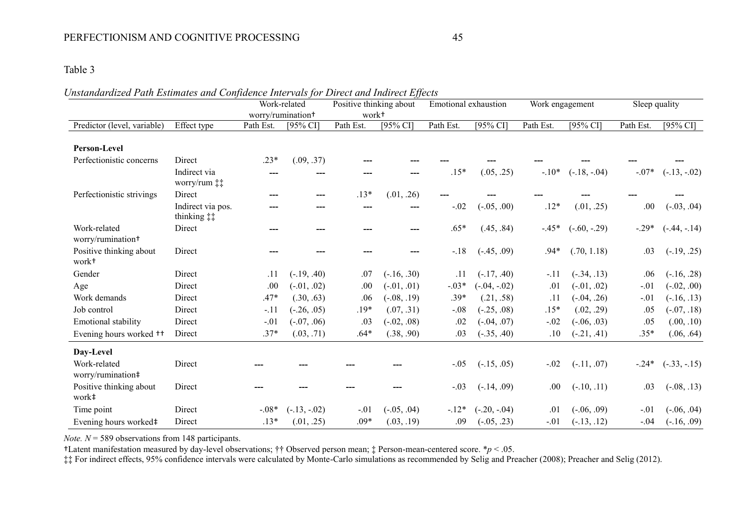## PERFECTIONISM AND COGNITIVE PROCESSING 45

## Table 3

#### *Unstandardized Path Estimates and Confidence Intervals for Direct and Indirect Effects*

|                                              |                                                   |                   | Work-related   | Positive thinking about |               | Emotional exhaustion |                | Work engagement |                | Sleep quality |                |
|----------------------------------------------|---------------------------------------------------|-------------------|----------------|-------------------------|---------------|----------------------|----------------|-----------------|----------------|---------------|----------------|
|                                              |                                                   | worry/rumination+ |                | work <sup>+</sup>       |               |                      |                |                 |                |               |                |
| Predictor (level, variable)                  | Effect type                                       | Path Est.         | [95% CI]       | Path Est.               | [95% CI]      | Path Est.            | [ $95\%$ CI]   | Path Est.       | [95% CI]       | Path Est.     | [95% CI]       |
| Person-Level                                 |                                                   |                   |                |                         |               |                      |                |                 |                |               |                |
| Perfectionistic concerns                     | Direct                                            | $.23*$            | (.09, .37)     |                         |               |                      |                |                 |                |               |                |
|                                              | Indirect via<br>worry/rum $\ddagger\ddagger$      |                   |                |                         |               | $.15*$               | (.05, .25)     | $-.10*$         | $(-.18, -.04)$ | $-.07*$       | $(-.13, -.02)$ |
| Perfectionistic strivings                    | Direct                                            |                   |                | $.13*$                  | (.01, .26)    |                      |                |                 |                |               |                |
|                                              | Indirect via pos.<br>thinking $\ddagger \ddagger$ |                   |                | ---                     |               | $-.02$               | $(-.05, .00)$  | $.12*$          | (.01, .25)     | .00.          | $(-.03, .04)$  |
| Work-related<br>worry/rumination+            | Direct                                            | ---               |                |                         |               | $.65*$               | (.45, .84)     | $-.45*$         | $(-.60, -.29)$ | $-.29*$       | $(-.44, -.14)$ |
| Positive thinking about<br>work <sup>+</sup> | Direct                                            |                   |                |                         |               | $-.18$               | $(-.45, .09)$  | $.94*$          | (.70, 1.18)    | .03           | $(-.19, .25)$  |
| Gender                                       | Direct                                            | .11               | $(-.19, .40)$  | .07                     | $(-.16, .30)$ | .11                  | $(-.17, .40)$  | $-11$           | $(-.34, .13)$  | .06           | $(-.16, .28)$  |
| Age                                          | Direct                                            | .00               | $(-.01, .02)$  | .00                     | $(-.01, .01)$ | $-.03*$              | $(-.04, -.02)$ | .01             | $(-.01, .02)$  | $-.01$        | $(-.02, .00)$  |
| Work demands                                 | Direct                                            | $.47*$            | (.30, .63)     | .06                     | $(-.08, .19)$ | $.39*$               | (.21, .58)     | .11             | $(-.04, .26)$  | $-.01$        | $(-.16, .13)$  |
| Job control                                  | Direct                                            | $-.11$            | $(-.26, .05)$  | $.19*$                  | (.07, .31)    | $-.08$               | $(-.25, .08)$  | $.15*$          | (.02, .29)     | .05           | $(-.07, .18)$  |
| Emotional stability                          | Direct                                            | $-.01$            | $(-.07, .06)$  | .03                     | $(-.02, .08)$ | .02                  | $(-.04, .07)$  | $-.02$          | $(-.06, .03)$  | .05           | (.00, .10)     |
| Evening hours worked <sup>++</sup>           | Direct                                            | $.37*$            | (.03, .71)     | $.64*$                  | (.38, .90)    | .03                  | $(-.35, .40)$  | .10             | $(-.21, .41)$  | $.35*$        | (.06, .64)     |
| Day-Level                                    |                                                   |                   |                |                         |               |                      |                |                 |                |               |                |
| Work-related<br>worry/rumination‡            | Direct                                            |                   |                |                         |               | $-.05$               | $(-.15, .05)$  | $-.02$          | $(-.11, .07)$  | $-24*$        | $(-.33, -.15)$ |
| Positive thinking about<br>work‡             | Direct                                            |                   |                |                         |               | $-.03$               | $(-.14, .09)$  | .00.            | $(-.10, .11)$  | .03           | $(-.08, .13)$  |
| Time point                                   | Direct                                            | $-0.08*$          | $(-.13, -.02)$ | $-.01$                  | $(-.05, .04)$ | $-12*$               | $(-.20, -.04)$ | .01             | $(-.06, .09)$  | $-.01$        | $(-.06, .04)$  |
| Evening hours worked‡                        | Direct                                            | $.13*$            | (.01, .25)     | $.09*$                  | (.03, .19)    | .09                  | $(-.05, .23)$  | $-.01$          | $(-.13, .12)$  | $-.04$        | $(-.16, .09)$  |

*Note.*  $N = 589$  observations from 148 participants.

†Latent manifestation measured by day-level observations; †† Observed person mean; ‡ Person-mean-centered score. \**p* < .05.

‡‡ For indirect effects, 95% confidence intervals were calculated by Monte-Carlo simulations as recommended by Selig and Preacher (2008); Preacher and Selig (2012).